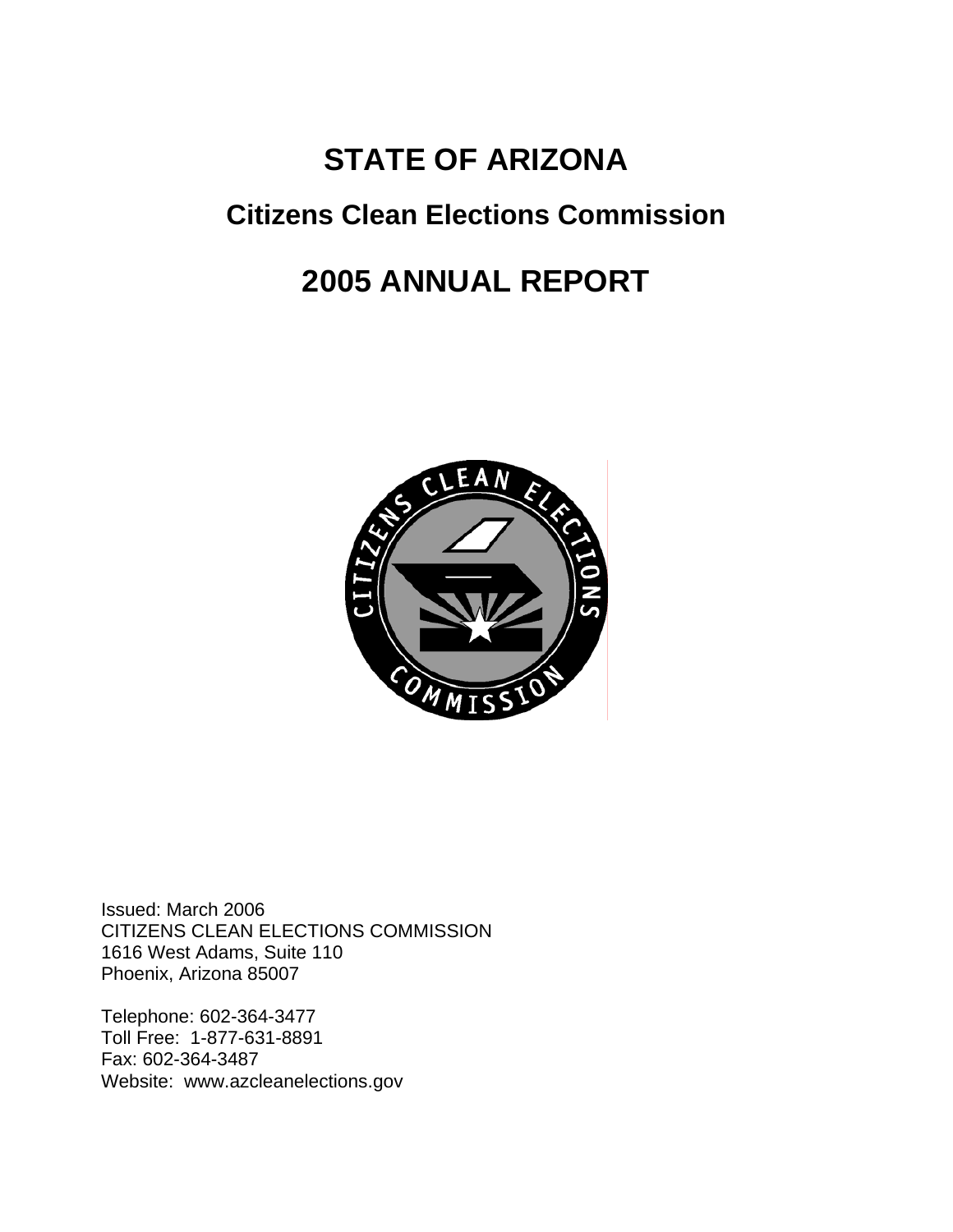# **STATE OF ARIZONA**

# **Citizens Clean Elections Commission**

# **2005 ANNUAL REPORT**



Issued: March 2006 CITIZENS CLEAN ELECTIONS COMMISSION 1616 West Adams, Suite 110 Phoenix, Arizona 85007

Telephone: 602-364-3477 Toll Free: 1-877-631-8891 Fax: 602-364-3487 Website: www.azcleanelections.gov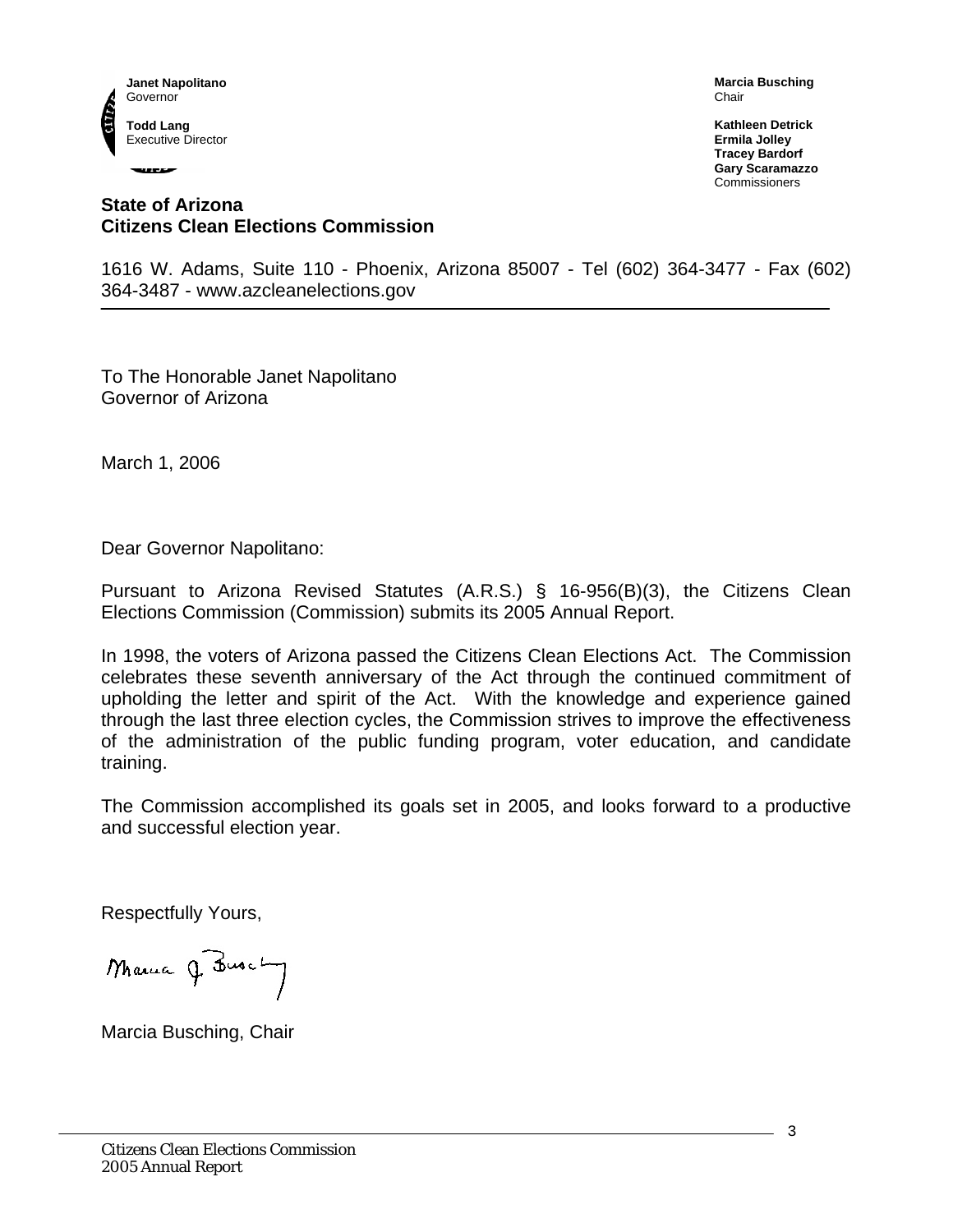

----

**Marcia Busching**  Chair

**Kathleen Detrick Ermila Jolley Tracey Bardorf Gary Scaramazzo**  Commissioners

## **State of Arizona Citizens Clean Elections Commission**

1616 W. Adams, Suite 110 - Phoenix, Arizona 85007 - Tel (602) 364-3477 - Fax (602) 364-3487 - www.azcleanelections.gov

To The Honorable Janet Napolitano Governor of Arizona

March 1, 2006

Dear Governor Napolitano:

Pursuant to Arizona Revised Statutes (A.R.S.) § 16-956(B)(3), the Citizens Clean Elections Commission (Commission) submits its 2005 Annual Report.

In 1998, the voters of Arizona passed the Citizens Clean Elections Act. The Commission celebrates these seventh anniversary of the Act through the continued commitment of upholding the letter and spirit of the Act. With the knowledge and experience gained through the last three election cycles, the Commission strives to improve the effectiveness of the administration of the public funding program, voter education, and candidate training.

The Commission accomplished its goals set in 2005, and looks forward to a productive and successful election year.

Respectfully Yours,

Masua J. Busch

Marcia Busching, Chair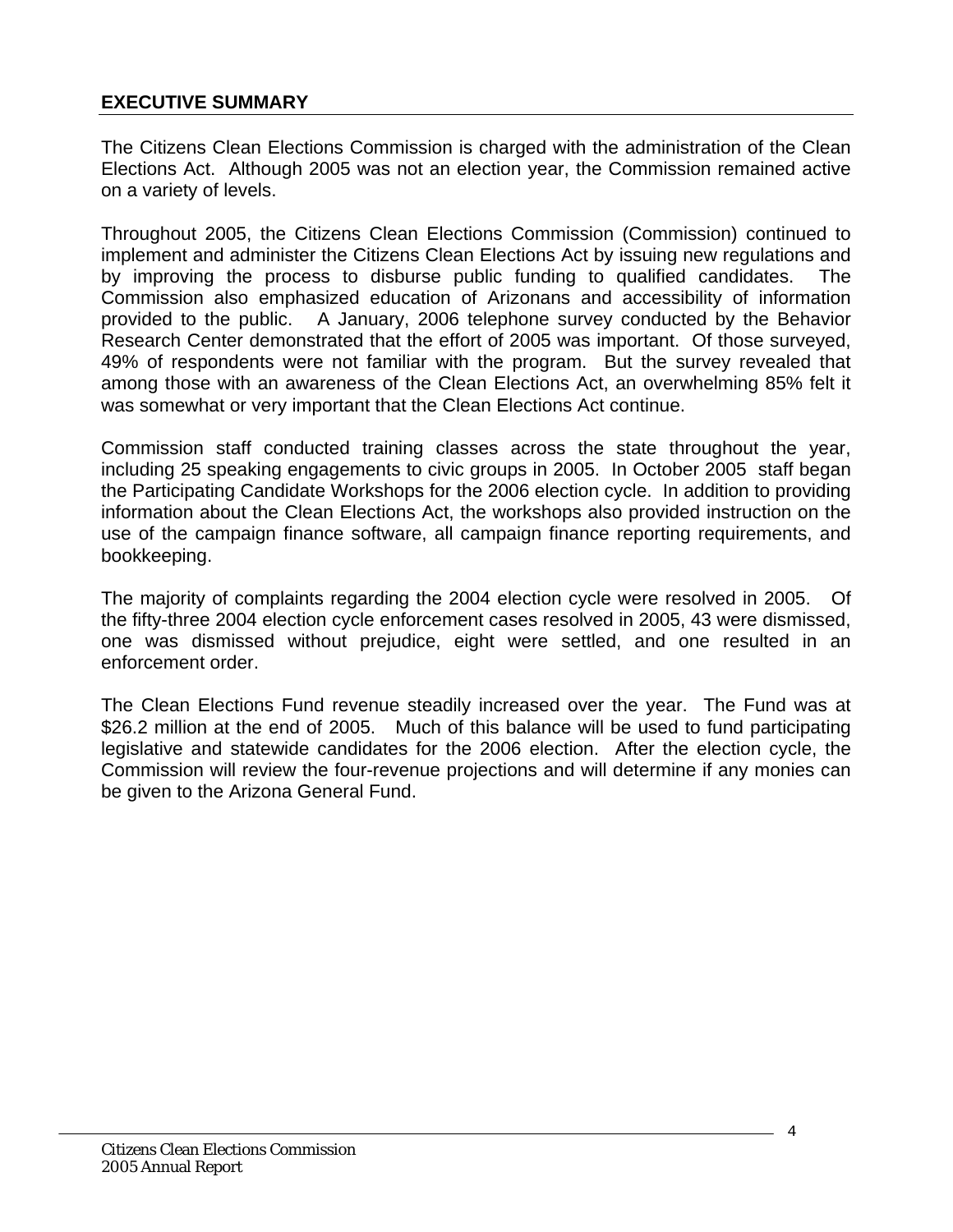## <span id="page-3-0"></span>**EXECUTIVE SUMMARY**

The Citizens Clean Elections Commission is charged with the administration of the Clean Elections Act. Although 2005 was not an election year, the Commission remained active on a variety of levels.

Throughout 2005, the Citizens Clean Elections Commission (Commission) continued to implement and administer the Citizens Clean Elections Act by issuing new regulations and by improving the process to disburse public funding to qualified candidates. The Commission also emphasized education of Arizonans and accessibility of information provided to the public. A January, 2006 telephone survey conducted by the Behavior Research Center demonstrated that the effort of 2005 was important. Of those surveyed, 49% of respondents were not familiar with the program. But the survey revealed that among those with an awareness of the Clean Elections Act, an overwhelming 85% felt it was somewhat or very important that the Clean Elections Act continue.

Commission staff conducted training classes across the state throughout the year, including 25 speaking engagements to civic groups in 2005. In October 2005 staff began the Participating Candidate Workshops for the 2006 election cycle. In addition to providing information about the Clean Elections Act, the workshops also provided instruction on the use of the campaign finance software, all campaign finance reporting requirements, and bookkeeping.

The majority of complaints regarding the 2004 election cycle were resolved in 2005. Of the fifty-three 2004 election cycle enforcement cases resolved in 2005, 43 were dismissed, one was dismissed without prejudice, eight were settled, and one resulted in an enforcement order.

The Clean Elections Fund revenue steadily increased over the year. The Fund was at \$26.2 million at the end of 2005. Much of this balance will be used to fund participating legislative and statewide candidates for the 2006 election. After the election cycle, the Commission will review the four-revenue projections and will determine if any monies can be given to the Arizona General Fund.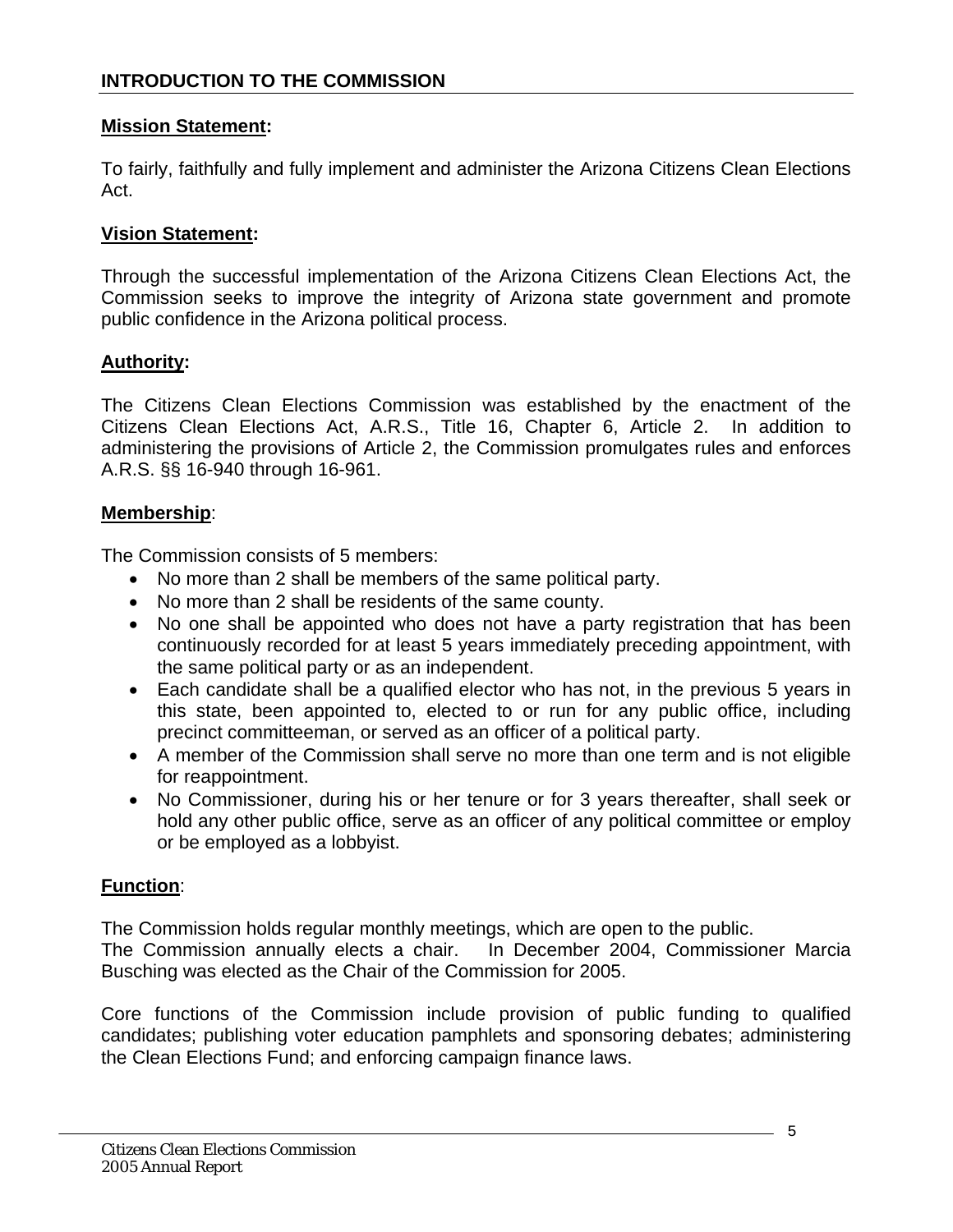## <span id="page-4-0"></span>**Mission Statement:**

To fairly, faithfully and fully implement and administer the Arizona Citizens Clean Elections Act.

## **Vision Statement:**

Through the successful implementation of the Arizona Citizens Clean Elections Act, the Commission seeks to improve the integrity of Arizona state government and promote public confidence in the Arizona political process.

## **Authority:**

The Citizens Clean Elections Commission was established by the enactment of the Citizens Clean Elections Act, A.R.S., Title 16, Chapter 6, Article 2. In addition to administering the provisions of Article 2, the Commission promulgates rules and enforces A.R.S. §§ 16-940 through 16-961.

## **Membership**:

The Commission consists of 5 members:

- No more than 2 shall be members of the same political party.
- No more than 2 shall be residents of the same county.
- No one shall be appointed who does not have a party registration that has been continuously recorded for at least 5 years immediately preceding appointment, with the same political party or as an independent.
- Each candidate shall be a qualified elector who has not, in the previous 5 years in this state, been appointed to, elected to or run for any public office, including precinct committeeman, or served as an officer of a political party.
- A member of the Commission shall serve no more than one term and is not eligible for reappointment.
- No Commissioner, during his or her tenure or for 3 years thereafter, shall seek or hold any other public office, serve as an officer of any political committee or employ or be employed as a lobbyist.

## **Function**:

The Commission holds regular monthly meetings, which are open to the public.

The Commission annually elects a chair. In December 2004, Commissioner Marcia Busching was elected as the Chair of the Commission for 2005.

Core functions of the Commission include provision of public funding to qualified candidates; publishing voter education pamphlets and sponsoring debates; administering the Clean Elections Fund; and enforcing campaign finance laws.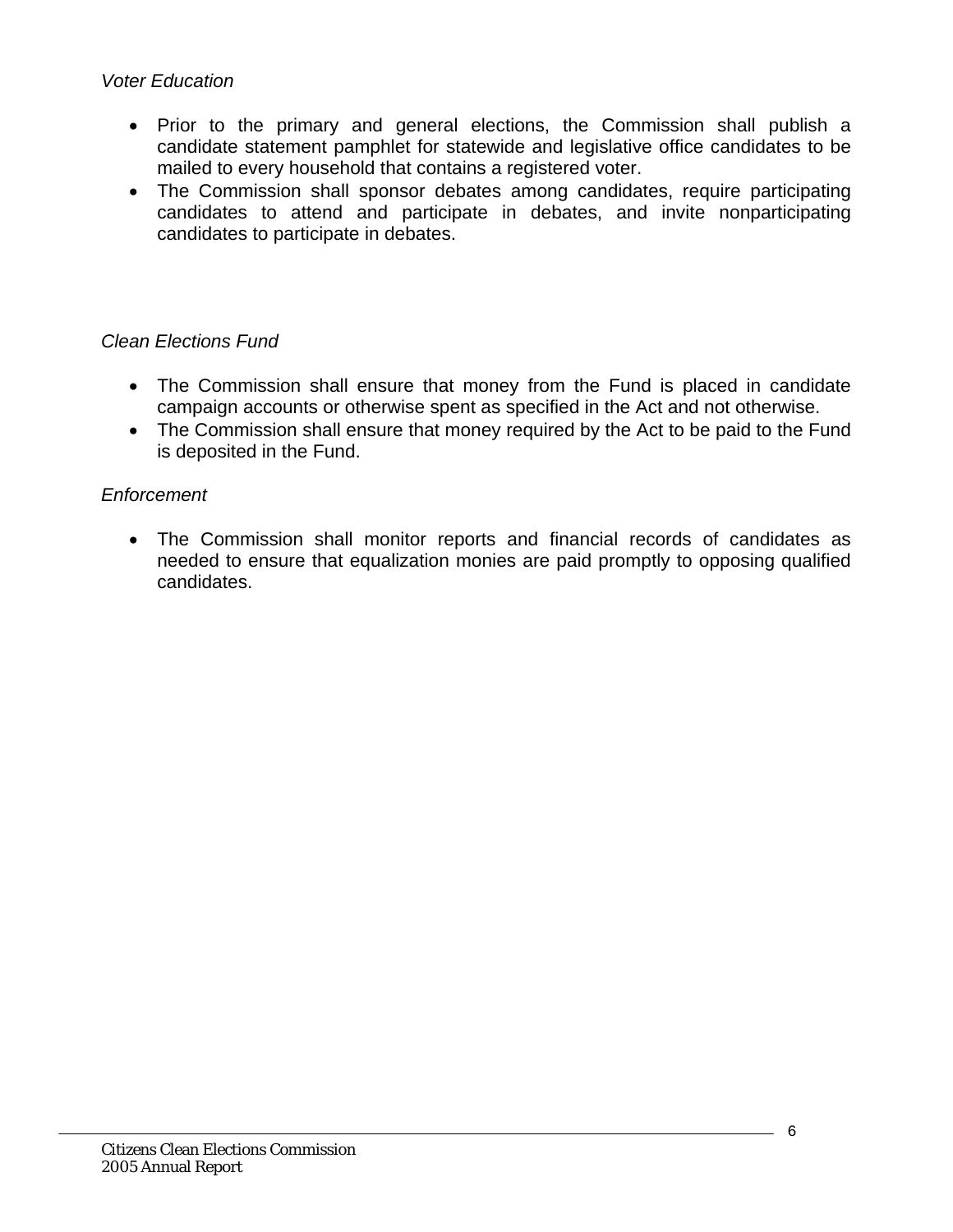## *Voter Education*

- Prior to the primary and general elections, the Commission shall publish a candidate statement pamphlet for statewide and legislative office candidates to be mailed to every household that contains a registered voter.
- The Commission shall sponsor debates among candidates, require participating candidates to attend and participate in debates, and invite nonparticipating candidates to participate in debates.

# *Clean Elections Fund*

- The Commission shall ensure that money from the Fund is placed in candidate campaign accounts or otherwise spent as specified in the Act and not otherwise.
- The Commission shall ensure that money required by the Act to be paid to the Fund is deposited in the Fund.

# *Enforcement*

• The Commission shall monitor reports and financial records of candidates as needed to ensure that equalization monies are paid promptly to opposing qualified candidates.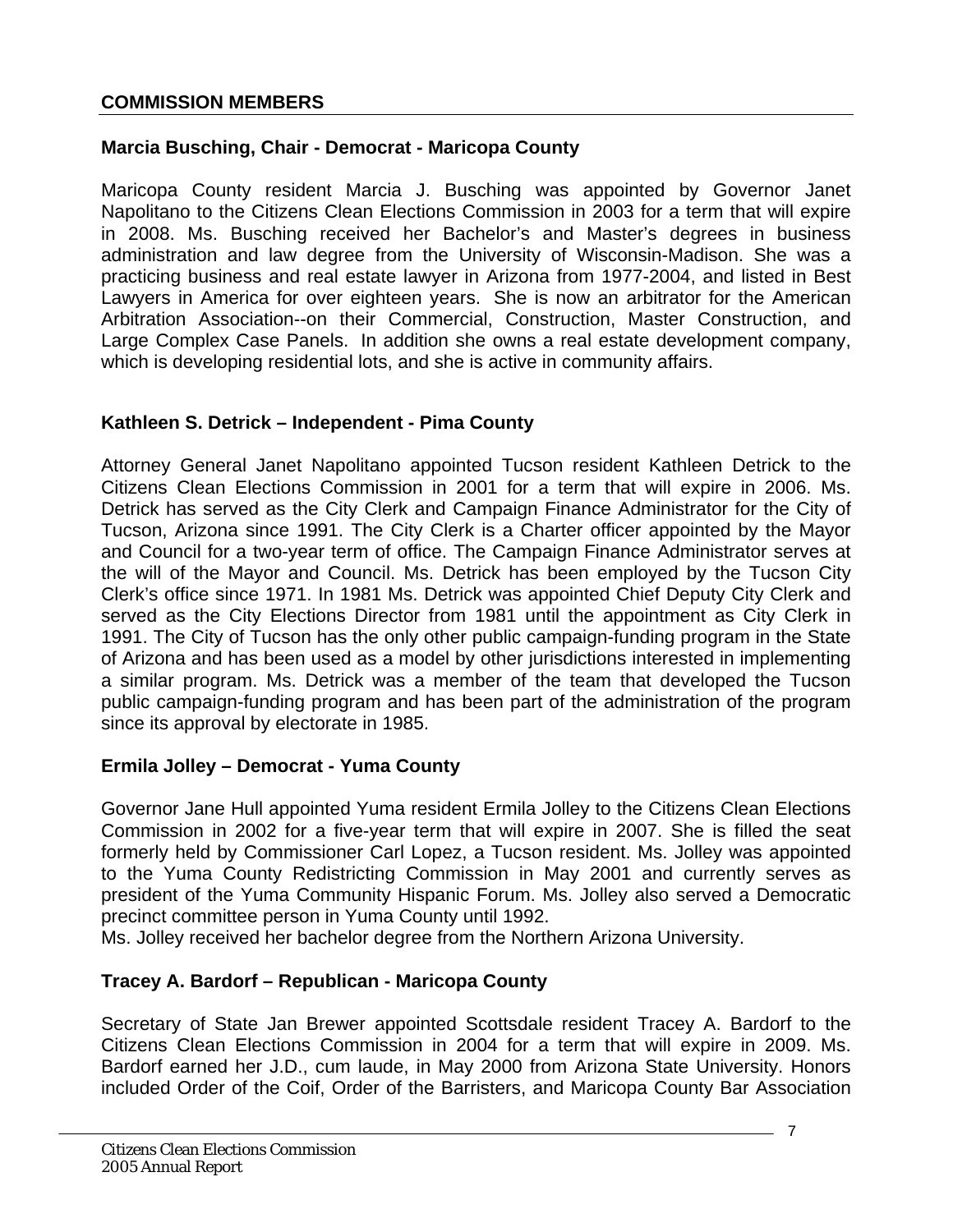## <span id="page-6-0"></span>**Marcia Busching, Chair - Democrat - Maricopa County**

Maricopa County resident Marcia J. Busching was appointed by Governor Janet Napolitano to the Citizens Clean Elections Commission in 2003 for a term that will expire in 2008. Ms. Busching received her Bachelor's and Master's degrees in business administration and law degree from the University of Wisconsin-Madison. She was a practicing business and real estate lawyer in Arizona from 1977-2004, and listed in Best Lawyers in America for over eighteen years. She is now an arbitrator for the American Arbitration Association--on their Commercial, Construction, Master Construction, and Large Complex Case Panels. In addition she owns a real estate development company, which is developing residential lots, and she is active in community affairs.

## **Kathleen S. Detrick – Independent - Pima County**

Attorney General Janet Napolitano appointed Tucson resident Kathleen Detrick to the Citizens Clean Elections Commission in 2001 for a term that will expire in 2006. Ms. Detrick has served as the City Clerk and Campaign Finance Administrator for the City of Tucson, Arizona since 1991. The City Clerk is a Charter officer appointed by the Mayor and Council for a two-year term of office. The Campaign Finance Administrator serves at the will of the Mayor and Council. Ms. Detrick has been employed by the Tucson City Clerk's office since 1971. In 1981 Ms. Detrick was appointed Chief Deputy City Clerk and served as the City Elections Director from 1981 until the appointment as City Clerk in 1991. The City of Tucson has the only other public campaign-funding program in the State of Arizona and has been used as a model by other jurisdictions interested in implementing a similar program. Ms. Detrick was a member of the team that developed the Tucson public campaign-funding program and has been part of the administration of the program since its approval by electorate in 1985.

## **Ermila Jolley – Democrat - Yuma County**

Governor Jane Hull appointed Yuma resident Ermila Jolley to the Citizens Clean Elections Commission in 2002 for a five-year term that will expire in 2007. She is filled the seat formerly held by Commissioner Carl Lopez, a Tucson resident. Ms. Jolley was appointed to the Yuma County Redistricting Commission in May 2001 and currently serves as president of the Yuma Community Hispanic Forum. Ms. Jolley also served a Democratic precinct committee person in Yuma County until 1992.

Ms. Jolley received her bachelor degree from the Northern Arizona University.

# **Tracey A. Bardorf – Republican - Maricopa County**

Secretary of State Jan Brewer appointed Scottsdale resident Tracey A. Bardorf to the Citizens Clean Elections Commission in 2004 for a term that will expire in 2009. Ms. Bardorf earned her J.D., cum laude, in May 2000 from Arizona State University. Honors included Order of the Coif, Order of the Barristers, and Maricopa County Bar Association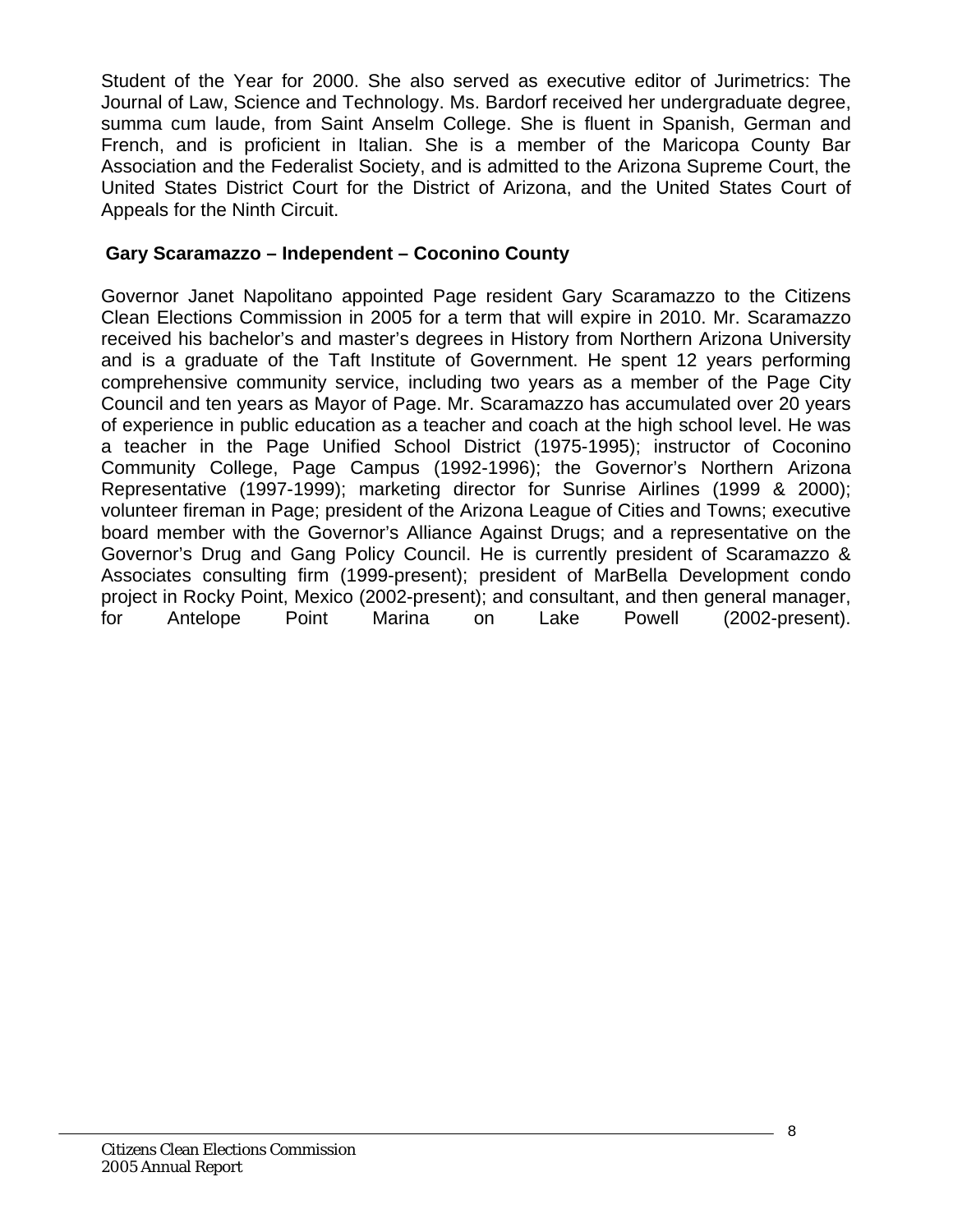Student of the Year for 2000. She also served as executive editor of Jurimetrics: The Journal of Law, Science and Technology. Ms. Bardorf received her undergraduate degree, summa cum laude, from Saint Anselm College. She is fluent in Spanish, German and French, and is proficient in Italian. She is a member of the Maricopa County Bar Association and the Federalist Society, and is admitted to the Arizona Supreme Court, the United States District Court for the District of Arizona, and the United States Court of Appeals for the Ninth Circuit.

## **Gary Scaramazzo – Independent – Coconino County**

Governor Janet Napolitano appointed Page resident Gary Scaramazzo to the Citizens Clean Elections Commission in 2005 for a term that will expire in 2010. Mr. Scaramazzo received his bachelor's and master's degrees in History from Northern Arizona University and is a graduate of the Taft Institute of Government. He spent 12 years performing comprehensive community service, including two years as a member of the Page City Council and ten years as Mayor of Page. Mr. Scaramazzo has accumulated over 20 years of experience in public education as a teacher and coach at the high school level. He was a teacher in the Page Unified School District (1975-1995); instructor of Coconino Community College, Page Campus (1992-1996); the Governor's Northern Arizona Representative (1997-1999); marketing director for Sunrise Airlines (1999 & 2000); volunteer fireman in Page; president of the Arizona League of Cities and Towns; executive board member with the Governor's Alliance Against Drugs; and a representative on the Governor's Drug and Gang Policy Council. He is currently president of Scaramazzo & Associates consulting firm (1999-present); president of MarBella Development condo project in Rocky Point, Mexico (2002-present); and consultant, and then general manager, for Antelope Point Marina on Lake Powell (2002-present).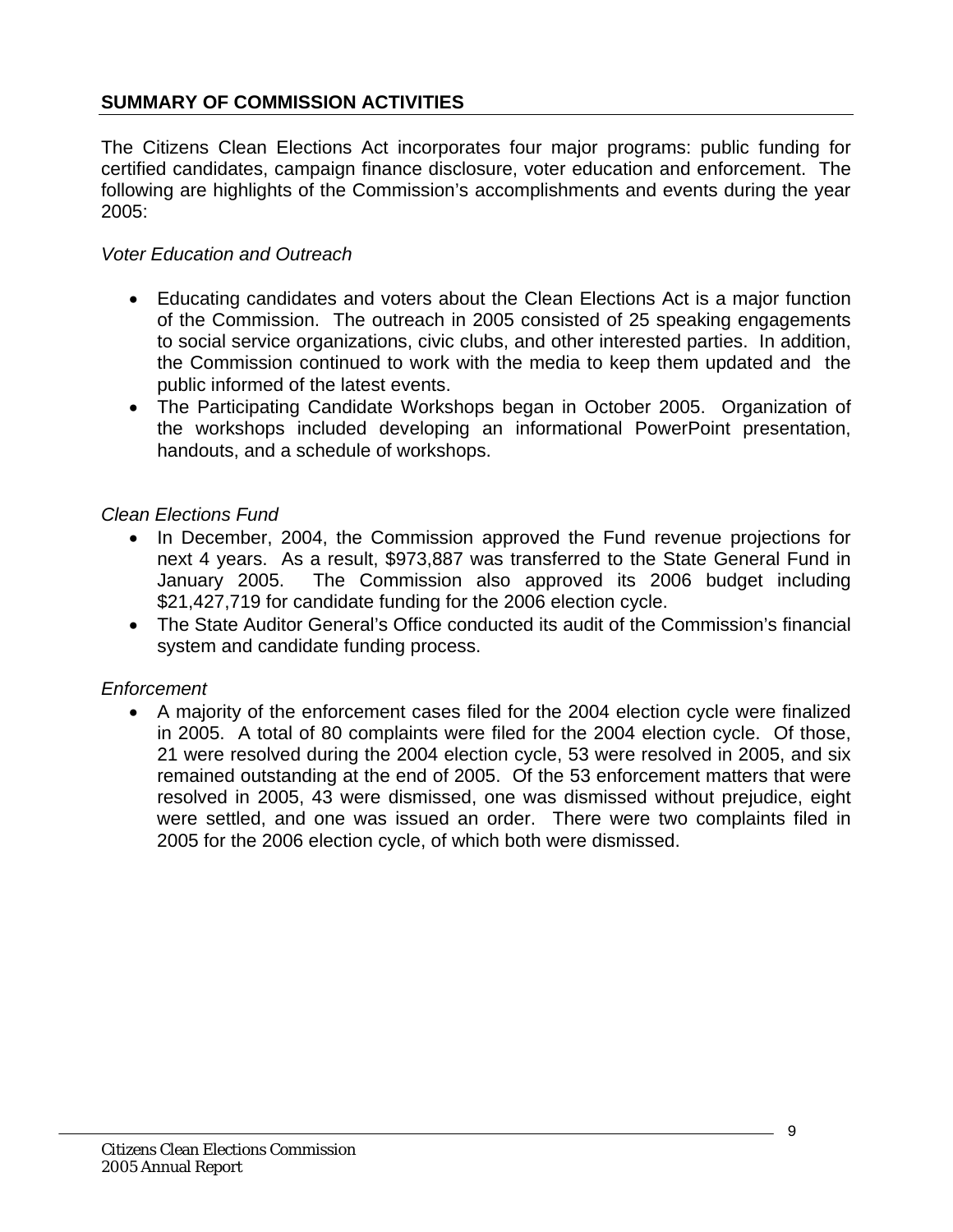## <span id="page-8-0"></span>**SUMMARY OF COMMISSION ACTIVITIES**

The Citizens Clean Elections Act incorporates four major programs: public funding for certified candidates, campaign finance disclosure, voter education and enforcement. The following are highlights of the Commission's accomplishments and events during the year 2005:

#### *Voter Education and Outreach*

- Educating candidates and voters about the Clean Elections Act is a major function of the Commission. The outreach in 2005 consisted of 25 speaking engagements to social service organizations, civic clubs, and other interested parties. In addition, the Commission continued to work with the media to keep them updated and the public informed of the latest events.
- The Participating Candidate Workshops began in October 2005. Organization of the workshops included developing an informational PowerPoint presentation, handouts, and a schedule of workshops.

#### *Clean Elections Fund*

- In December, 2004, the Commission approved the Fund revenue projections for next 4 years. As a result, \$973,887 was transferred to the State General Fund in January 2005. The Commission also approved its 2006 budget including \$21,427,719 for candidate funding for the 2006 election cycle.
- The State Auditor General's Office conducted its audit of the Commission's financial system and candidate funding process.

#### *Enforcement*

• A majority of the enforcement cases filed for the 2004 election cycle were finalized in 2005. A total of 80 complaints were filed for the 2004 election cycle. Of those, 21 were resolved during the 2004 election cycle, 53 were resolved in 2005, and six remained outstanding at the end of 2005. Of the 53 enforcement matters that were resolved in 2005, 43 were dismissed, one was dismissed without prejudice, eight were settled, and one was issued an order. There were two complaints filed in 2005 for the 2006 election cycle, of which both were dismissed.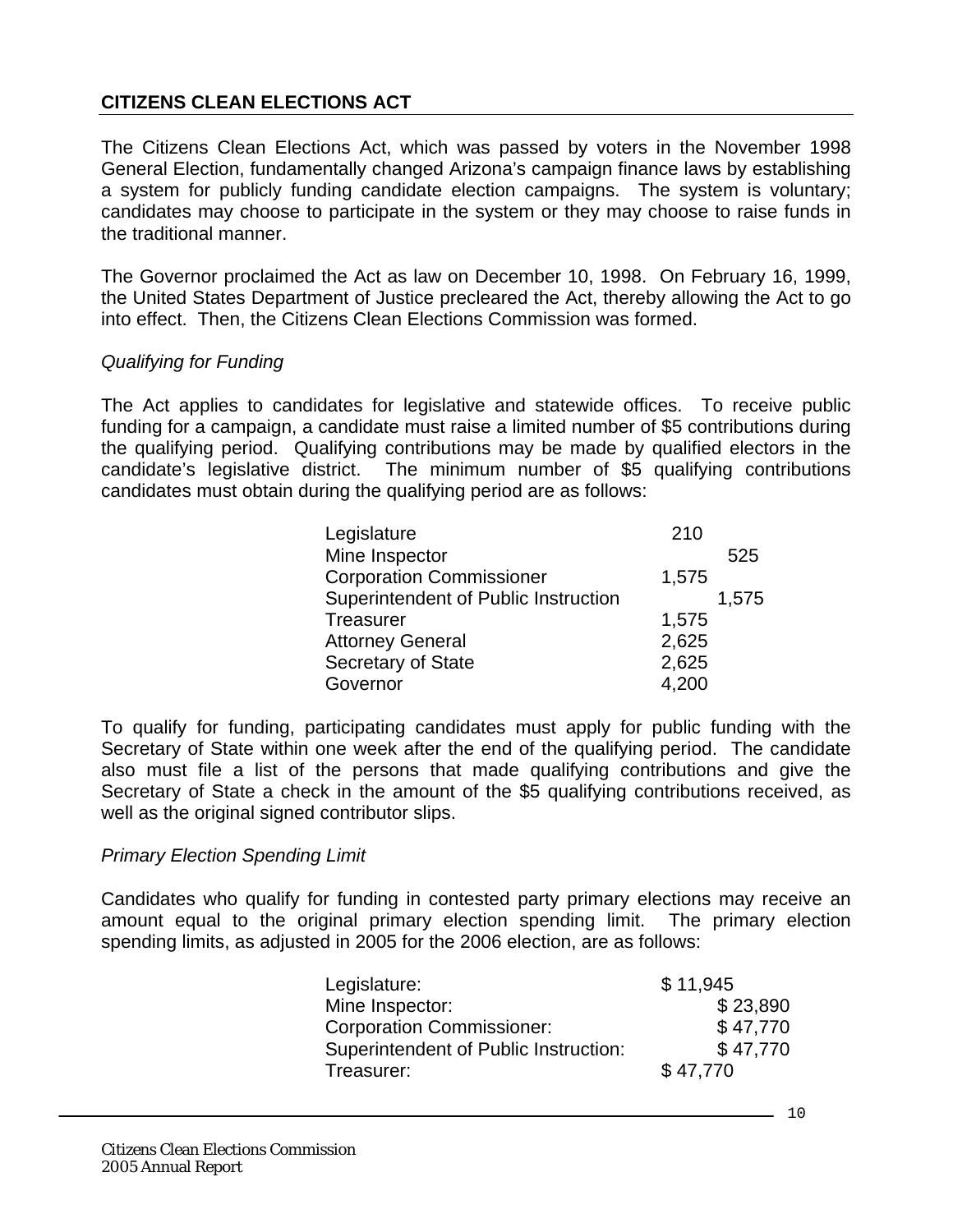## <span id="page-9-0"></span>**CITIZENS CLEAN ELECTIONS ACT**

The Citizens Clean Elections Act, which was passed by voters in the November 1998 General Election, fundamentally changed Arizona's campaign finance laws by establishing a system for publicly funding candidate election campaigns. The system is voluntary; candidates may choose to participate in the system or they may choose to raise funds in the traditional manner.

The Governor proclaimed the Act as law on December 10, 1998. On February 16, 1999, the United States Department of Justice precleared the Act, thereby allowing the Act to go into effect. Then, the Citizens Clean Elections Commission was formed.

#### *Qualifying for Funding*

The Act applies to candidates for legislative and statewide offices. To receive public funding for a campaign, a candidate must raise a limited number of \$5 contributions during the qualifying period. Qualifying contributions may be made by qualified electors in the candidate's legislative district. The minimum number of \$5 qualifying contributions candidates must obtain during the qualifying period are as follows:

| Legislature                          | 210   |       |
|--------------------------------------|-------|-------|
| Mine Inspector                       |       | 525   |
| <b>Corporation Commissioner</b>      | 1,575 |       |
| Superintendent of Public Instruction |       | 1,575 |
| <b>Treasurer</b>                     | 1,575 |       |
| <b>Attorney General</b>              | 2,625 |       |
| Secretary of State                   | 2,625 |       |
| Governor                             | 4,200 |       |

To qualify for funding, participating candidates must apply for public funding with the Secretary of State within one week after the end of the qualifying period. The candidate also must file a list of the persons that made qualifying contributions and give the Secretary of State a check in the amount of the \$5 qualifying contributions received, as well as the original signed contributor slips.

#### *Primary Election Spending Limit*

Candidates who qualify for funding in contested party primary elections may receive an amount equal to the original primary election spending limit. The primary election spending limits, as adjusted in 2005 for the 2006 election, are as follows:

| Legislature:                          | \$11,945 |
|---------------------------------------|----------|
| Mine Inspector:                       | \$23,890 |
| <b>Corporation Commissioner:</b>      | \$47.770 |
| Superintendent of Public Instruction: | \$47,770 |
| Treasurer:                            | \$47,770 |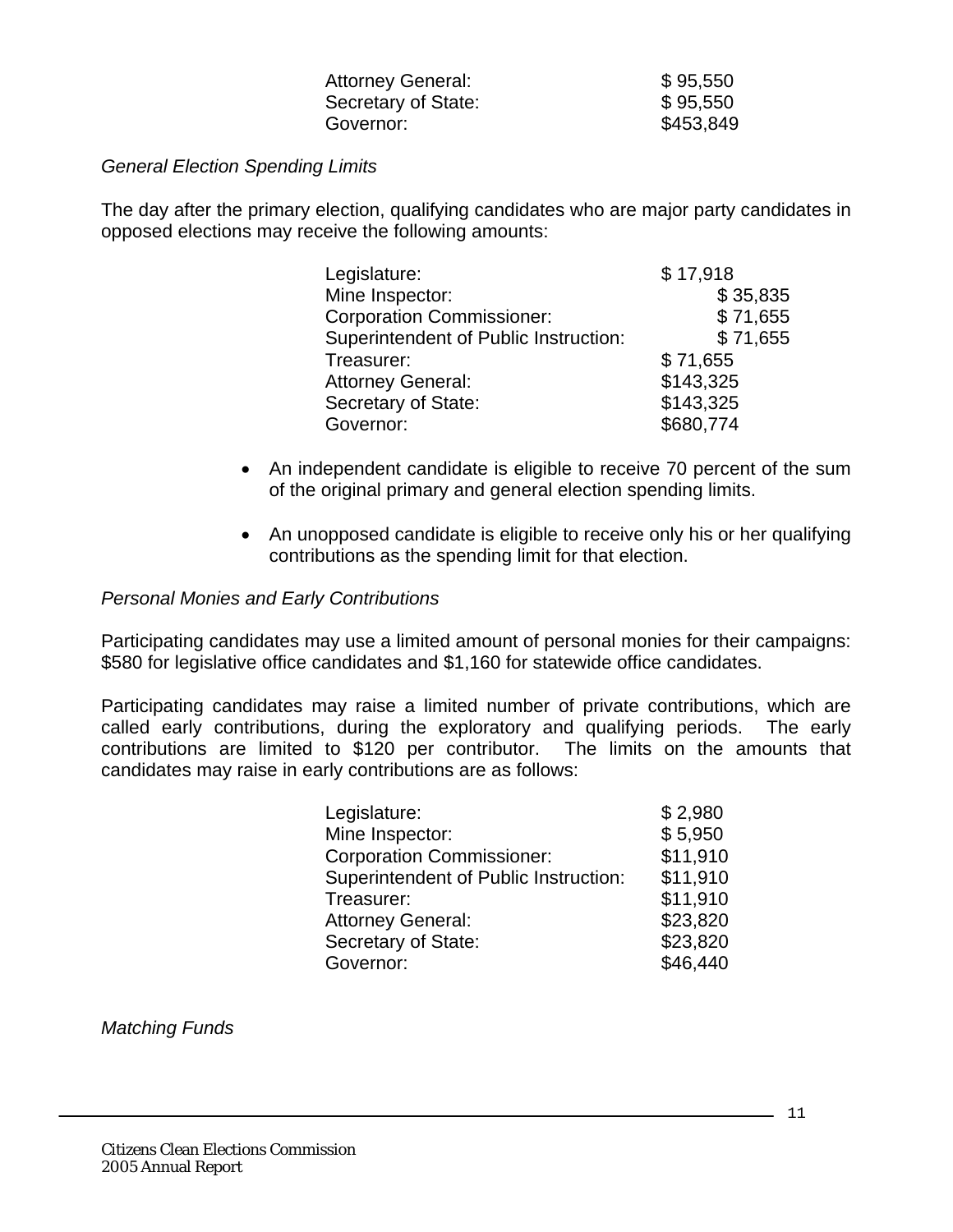| <b>Attorney General:</b> | \$95,550  |
|--------------------------|-----------|
| Secretary of State:      | \$95,550  |
| Governor:                | \$453,849 |

#### *General Election Spending Limits*

The day after the primary election, qualifying candidates who are major party candidates in opposed elections may receive the following amounts:

| Legislature:                          | \$17,918  |
|---------------------------------------|-----------|
| Mine Inspector:                       | \$35,835  |
| <b>Corporation Commissioner:</b>      | \$71,655  |
| Superintendent of Public Instruction: | \$71,655  |
| Treasurer:                            | \$71,655  |
| <b>Attorney General:</b>              | \$143,325 |
| Secretary of State:                   | \$143,325 |
| Governor:                             | \$680,774 |

- An independent candidate is eligible to receive 70 percent of the sum of the original primary and general election spending limits.
- An unopposed candidate is eligible to receive only his or her qualifying contributions as the spending limit for that election.

#### *Personal Monies and Early Contributions*

Participating candidates may use a limited amount of personal monies for their campaigns: \$580 for legislative office candidates and \$1,160 for statewide office candidates.

Participating candidates may raise a limited number of private contributions, which are called early contributions, during the exploratory and qualifying periods. The early contributions are limited to \$120 per contributor. The limits on the amounts that candidates may raise in early contributions are as follows:

| Legislature:                          | \$2,980  |
|---------------------------------------|----------|
| Mine Inspector:                       | \$5,950  |
| <b>Corporation Commissioner:</b>      | \$11,910 |
| Superintendent of Public Instruction: | \$11,910 |
| Treasurer:                            | \$11,910 |
| <b>Attorney General:</b>              | \$23,820 |
| Secretary of State:                   | \$23,820 |
| Governor:                             | \$46,440 |

*Matching Funds*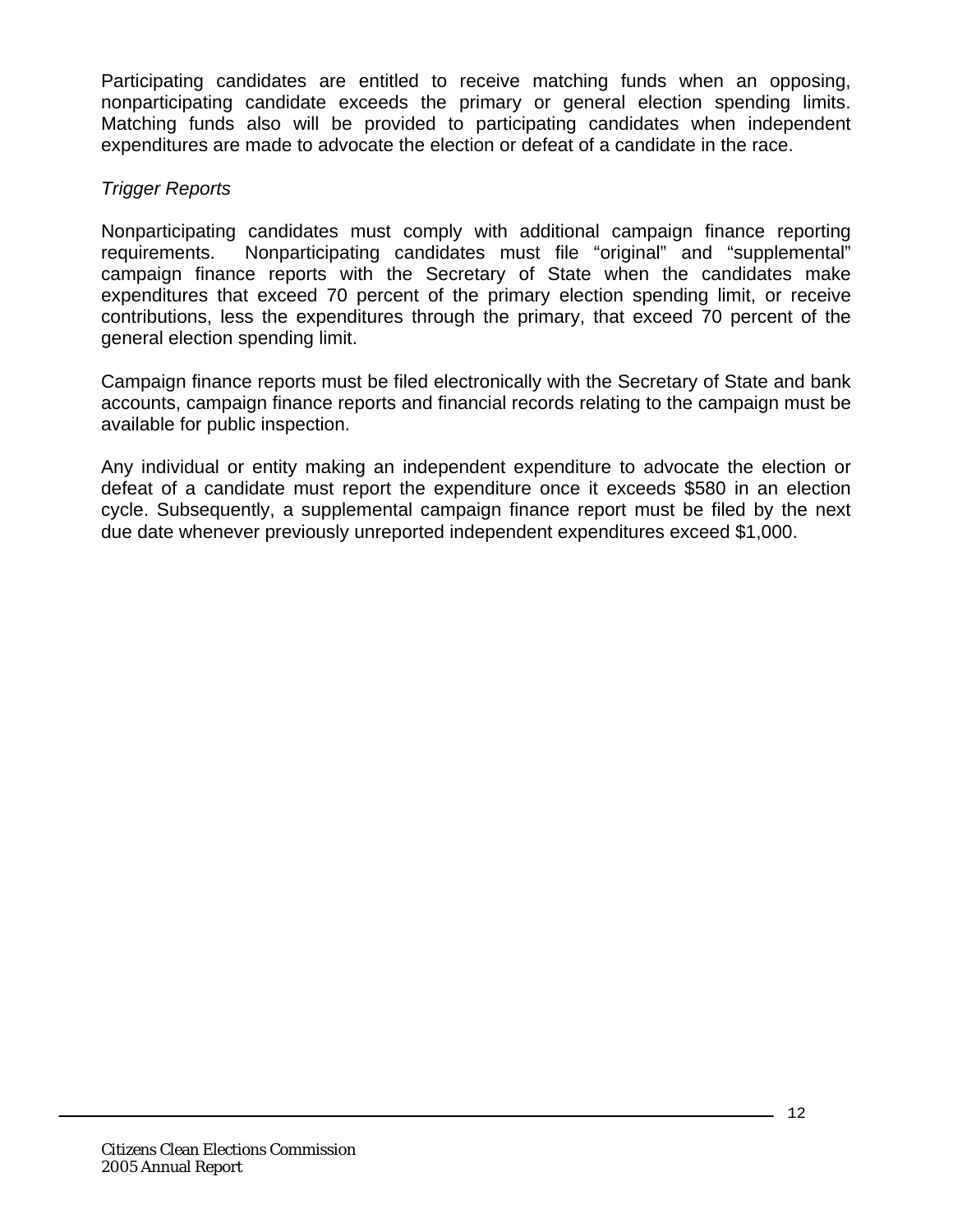Participating candidates are entitled to receive matching funds when an opposing, nonparticipating candidate exceeds the primary or general election spending limits. Matching funds also will be provided to participating candidates when independent expenditures are made to advocate the election or defeat of a candidate in the race.

### *Trigger Reports*

Nonparticipating candidates must comply with additional campaign finance reporting requirements. Nonparticipating candidates must file "original" and "supplemental" campaign finance reports with the Secretary of State when the candidates make expenditures that exceed 70 percent of the primary election spending limit, or receive contributions, less the expenditures through the primary, that exceed 70 percent of the general election spending limit.

Campaign finance reports must be filed electronically with the Secretary of State and bank accounts, campaign finance reports and financial records relating to the campaign must be available for public inspection.

Any individual or entity making an independent expenditure to advocate the election or defeat of a candidate must report the expenditure once it exceeds \$580 in an election cycle. Subsequently, a supplemental campaign finance report must be filed by the next due date whenever previously unreported independent expenditures exceed \$1,000.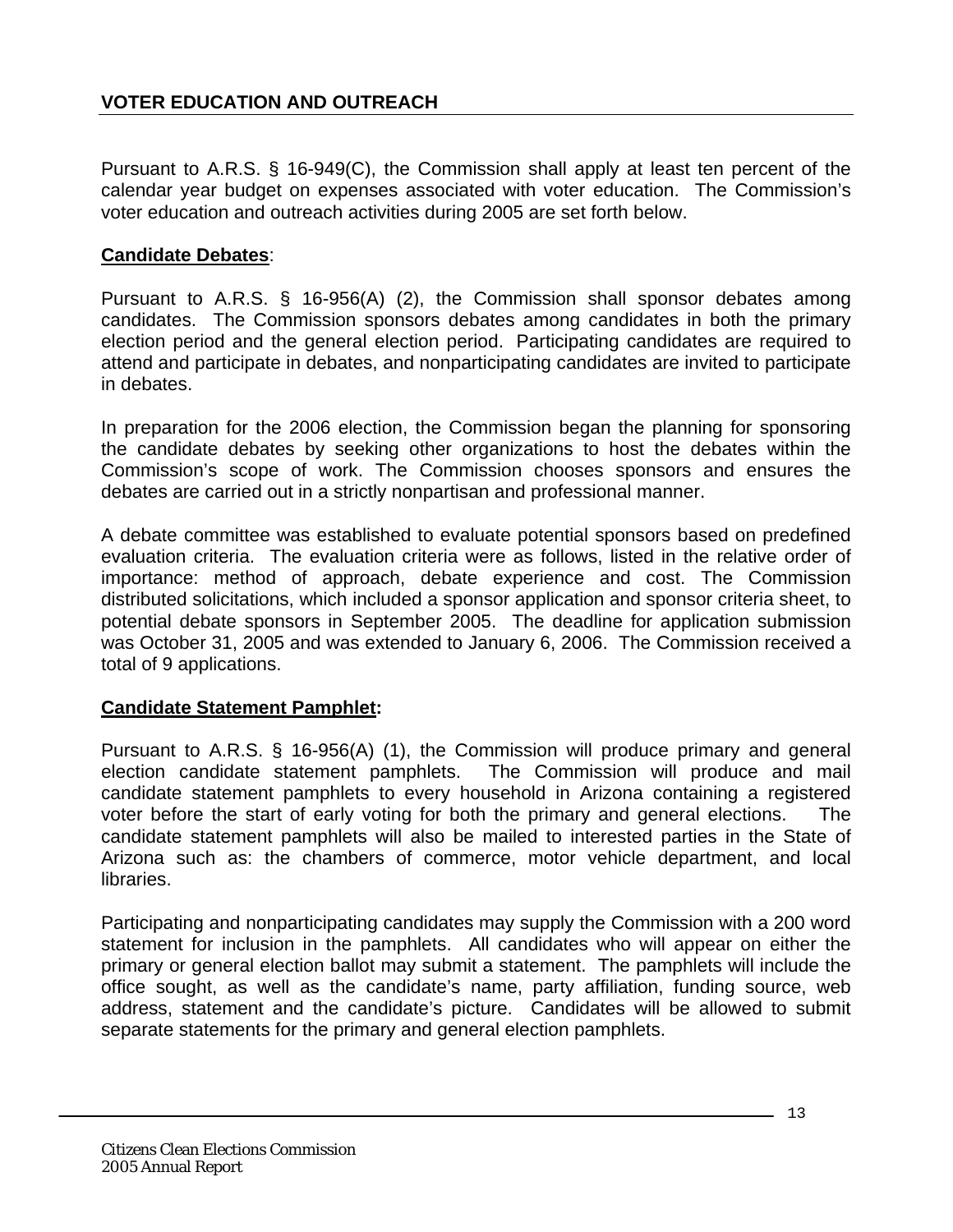<span id="page-12-0"></span>Pursuant to A.R.S. § 16-949(C), the Commission shall apply at least ten percent of the calendar year budget on expenses associated with voter education. The Commission's voter education and outreach activities during 2005 are set forth below.

## **Candidate Debates**:

Pursuant to A.R.S. § 16-956(A) (2), the Commission shall sponsor debates among candidates. The Commission sponsors debates among candidates in both the primary election period and the general election period. Participating candidates are required to attend and participate in debates, and nonparticipating candidates are invited to participate in debates.

In preparation for the 2006 election, the Commission began the planning for sponsoring the candidate debates by seeking other organizations to host the debates within the Commission's scope of work. The Commission chooses sponsors and ensures the debates are carried out in a strictly nonpartisan and professional manner.

A debate committee was established to evaluate potential sponsors based on predefined evaluation criteria. The evaluation criteria were as follows, listed in the relative order of importance: method of approach, debate experience and cost. The Commission distributed solicitations, which included a sponsor application and sponsor criteria sheet, to potential debate sponsors in September 2005. The deadline for application submission was October 31, 2005 and was extended to January 6, 2006. The Commission received a total of 9 applications.

## **Candidate Statement Pamphlet:**

Pursuant to A.R.S. § 16-956(A) (1), the Commission will produce primary and general election candidate statement pamphlets. The Commission will produce and mail candidate statement pamphlets to every household in Arizona containing a registered voter before the start of early voting for both the primary and general elections. The candidate statement pamphlets will also be mailed to interested parties in the State of Arizona such as: the chambers of commerce, motor vehicle department, and local libraries.

Participating and nonparticipating candidates may supply the Commission with a 200 word statement for inclusion in the pamphlets. All candidates who will appear on either the primary or general election ballot may submit a statement. The pamphlets will include the office sought, as well as the candidate's name, party affiliation, funding source, web address, statement and the candidate's picture. Candidates will be allowed to submit separate statements for the primary and general election pamphlets.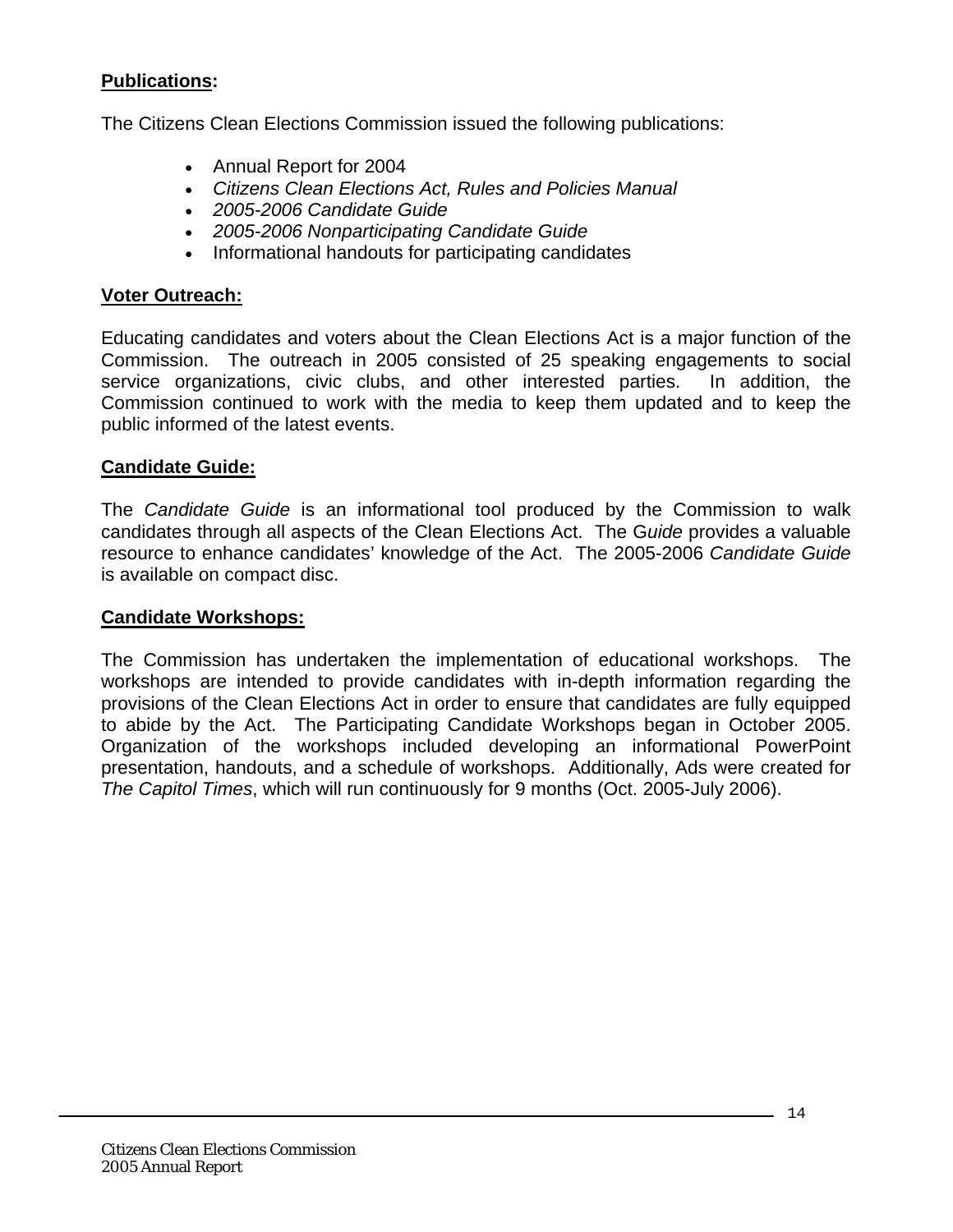## **Publications:**

The Citizens Clean Elections Commission issued the following publications:

- Annual Report for 2004
- *Citizens Clean Elections Act, Rules and Policies Manual*
- *2005-2006 Candidate Guide*
- *2005-2006 Nonparticipating Candidate Guide*
- Informational handouts for participating candidates

### **Voter Outreach:**

Educating candidates and voters about the Clean Elections Act is a major function of the Commission. The outreach in 2005 consisted of 25 speaking engagements to social service organizations, civic clubs, and other interested parties. In addition, the Commission continued to work with the media to keep them updated and to keep the public informed of the latest events.

#### **Candidate Guide:**

The *Candidate Guide* is an informational tool produced by the Commission to walk candidates through all aspects of the Clean Elections Act. The G*uide* provides a valuable resource to enhance candidates' knowledge of the Act. The 2005-2006 *Candidate Guide* is available on compact disc.

#### **Candidate Workshops:**

The Commission has undertaken the implementation of educational workshops. The workshops are intended to provide candidates with in-depth information regarding the provisions of the Clean Elections Act in order to ensure that candidates are fully equipped to abide by the Act. The Participating Candidate Workshops began in October 2005. Organization of the workshops included developing an informational PowerPoint presentation, handouts, and a schedule of workshops. Additionally, Ads were created for *The Capitol Times*, which will run continuously for 9 months (Oct. 2005-July 2006).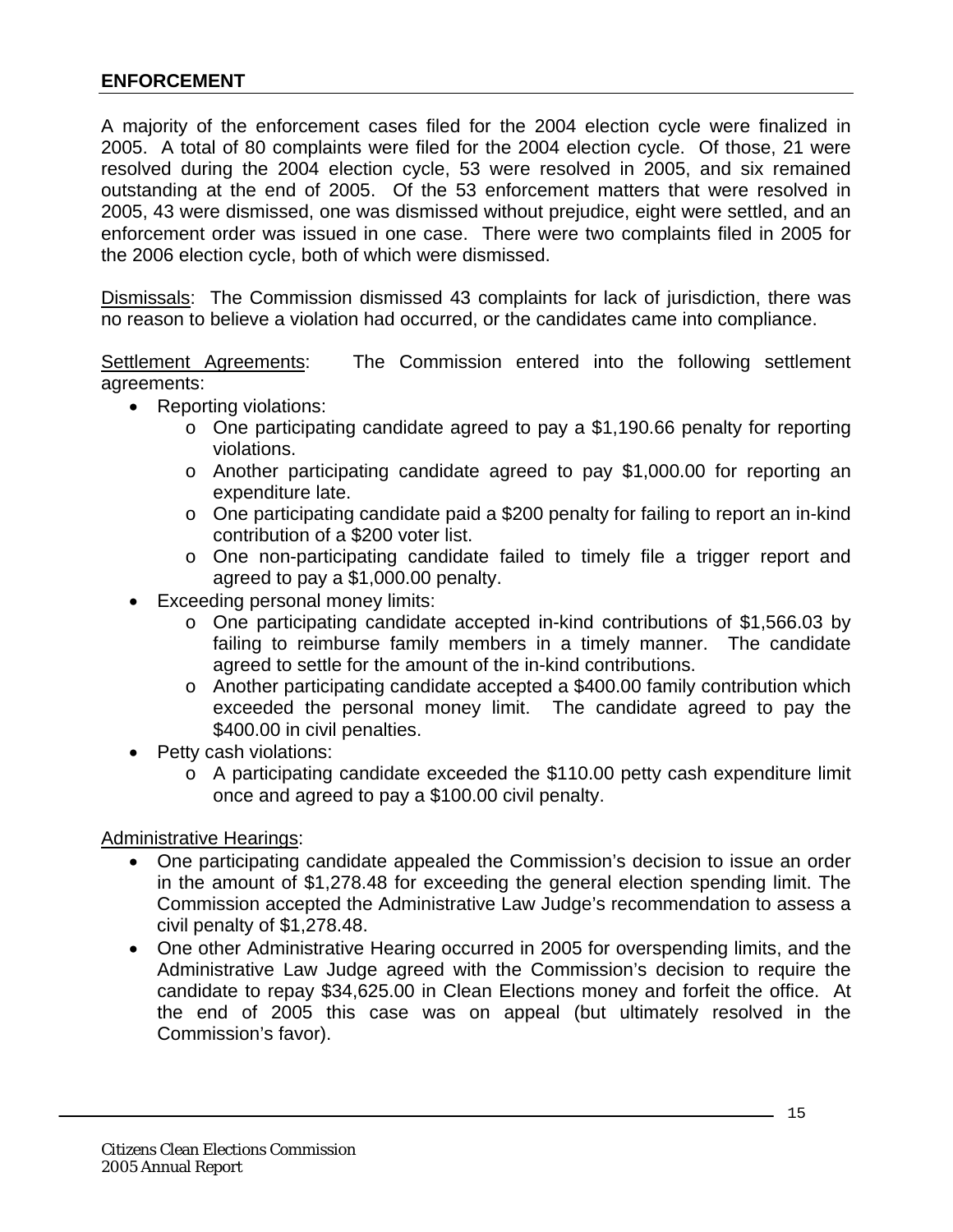### <span id="page-14-0"></span>**ENFORCEMENT**

A majority of the enforcement cases filed for the 2004 election cycle were finalized in 2005. A total of 80 complaints were filed for the 2004 election cycle. Of those, 21 were resolved during the 2004 election cycle, 53 were resolved in 2005, and six remained outstanding at the end of 2005. Of the 53 enforcement matters that were resolved in 2005, 43 were dismissed, one was dismissed without prejudice, eight were settled, and an enforcement order was issued in one case. There were two complaints filed in 2005 for the 2006 election cycle, both of which were dismissed.

Dismissals: The Commission dismissed 43 complaints for lack of jurisdiction, there was no reason to believe a violation had occurred, or the candidates came into compliance.

Settlement Agreements: The Commission entered into the following settlement agreements:

- Reporting violations:
	- o One participating candidate agreed to pay a \$1,190.66 penalty for reporting violations.
	- o Another participating candidate agreed to pay \$1,000.00 for reporting an expenditure late.
	- o One participating candidate paid a \$200 penalty for failing to report an in-kind contribution of a \$200 voter list.
	- o One non-participating candidate failed to timely file a trigger report and agreed to pay a \$1,000.00 penalty.
- Exceeding personal money limits:
	- o One participating candidate accepted in-kind contributions of \$1,566.03 by failing to reimburse family members in a timely manner. The candidate agreed to settle for the amount of the in-kind contributions.
	- o Another participating candidate accepted a \$400.00 family contribution which exceeded the personal money limit. The candidate agreed to pay the \$400.00 in civil penalties.
- Petty cash violations:
	- o A participating candidate exceeded the \$110.00 petty cash expenditure limit once and agreed to pay a \$100.00 civil penalty.

Administrative Hearings:

- One participating candidate appealed the Commission's decision to issue an order in the amount of \$1,278.48 for exceeding the general election spending limit. The Commission accepted the Administrative Law Judge's recommendation to assess a civil penalty of \$1,278.48.
- One other Administrative Hearing occurred in 2005 for overspending limits, and the Administrative Law Judge agreed with the Commission's decision to require the candidate to repay \$34,625.00 in Clean Elections money and forfeit the office. At the end of 2005 this case was on appeal (but ultimately resolved in the Commission's favor).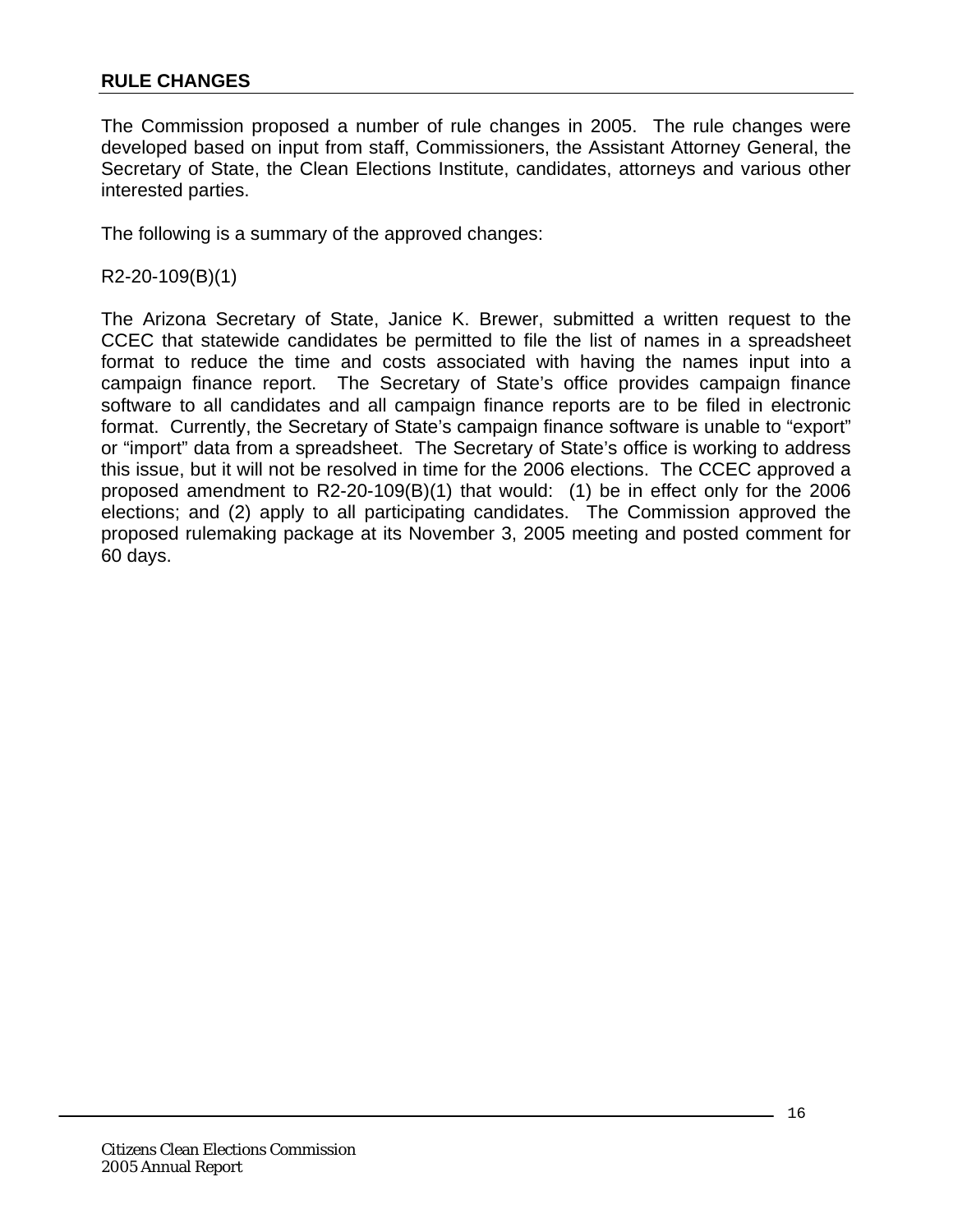### <span id="page-15-0"></span>**RULE CHANGES**

The Commission proposed a number of rule changes in 2005. The rule changes were developed based on input from staff, Commissioners, the Assistant Attorney General, the Secretary of State, the Clean Elections Institute, candidates, attorneys and various other interested parties.

The following is a summary of the approved changes:

R2-20-109(B)(1)

The Arizona Secretary of State, Janice K. Brewer, submitted a written request to the CCEC that statewide candidates be permitted to file the list of names in a spreadsheet format to reduce the time and costs associated with having the names input into a campaign finance report. The Secretary of State's office provides campaign finance software to all candidates and all campaign finance reports are to be filed in electronic format. Currently, the Secretary of State's campaign finance software is unable to "export" or "import" data from a spreadsheet. The Secretary of State's office is working to address this issue, but it will not be resolved in time for the 2006 elections. The CCEC approved a proposed amendment to R2-20-109(B)(1) that would: (1) be in effect only for the 2006 elections; and (2) apply to all participating candidates. The Commission approved the proposed rulemaking package at its November 3, 2005 meeting and posted comment for 60 days.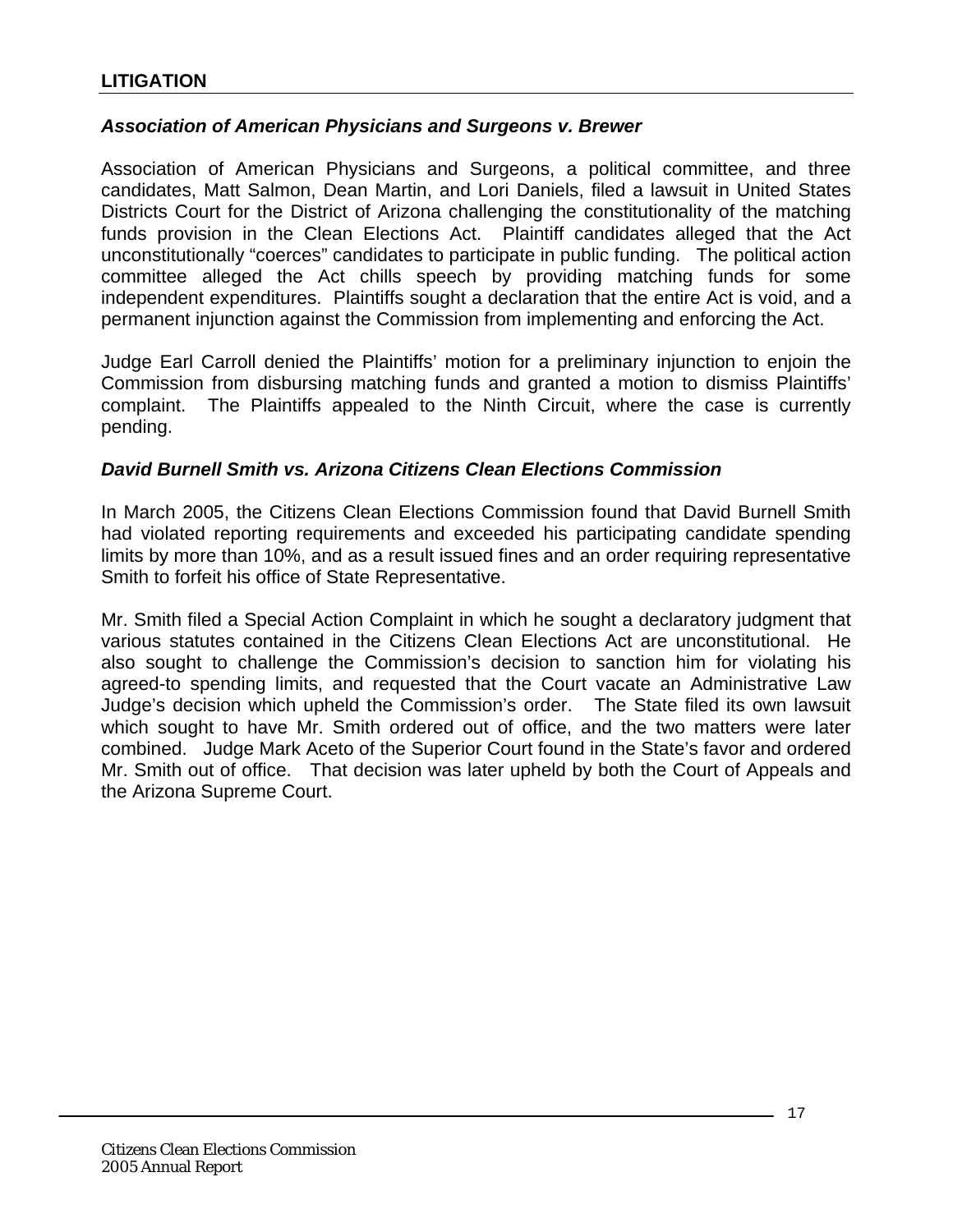## <span id="page-16-0"></span>**LITIGATION**

#### *Association of American Physicians and Surgeons v. Brewer*

Association of American Physicians and Surgeons, a political committee, and three candidates, Matt Salmon, Dean Martin, and Lori Daniels, filed a lawsuit in United States Districts Court for the District of Arizona challenging the constitutionality of the matching funds provision in the Clean Elections Act. Plaintiff candidates alleged that the Act unconstitutionally "coerces" candidates to participate in public funding. The political action committee alleged the Act chills speech by providing matching funds for some independent expenditures. Plaintiffs sought a declaration that the entire Act is void, and a permanent injunction against the Commission from implementing and enforcing the Act.

Judge Earl Carroll denied the Plaintiffs' motion for a preliminary injunction to enjoin the Commission from disbursing matching funds and granted a motion to dismiss Plaintiffs' complaint. The Plaintiffs appealed to the Ninth Circuit, where the case is currently pending.

#### *David Burnell Smith vs. Arizona Citizens Clean Elections Commission*

In March 2005, the Citizens Clean Elections Commission found that David Burnell Smith had violated reporting requirements and exceeded his participating candidate spending limits by more than 10%, and as a result issued fines and an order requiring representative Smith to forfeit his office of State Representative.

Mr. Smith filed a Special Action Complaint in which he sought a declaratory judgment that various statutes contained in the Citizens Clean Elections Act are unconstitutional. He also sought to challenge the Commission's decision to sanction him for violating his agreed-to spending limits, and requested that the Court vacate an Administrative Law Judge's decision which upheld the Commission's order. The State filed its own lawsuit which sought to have Mr. Smith ordered out of office, and the two matters were later combined. Judge Mark Aceto of the Superior Court found in the State's favor and ordered Mr. Smith out of office. That decision was later upheld by both the Court of Appeals and the Arizona Supreme Court.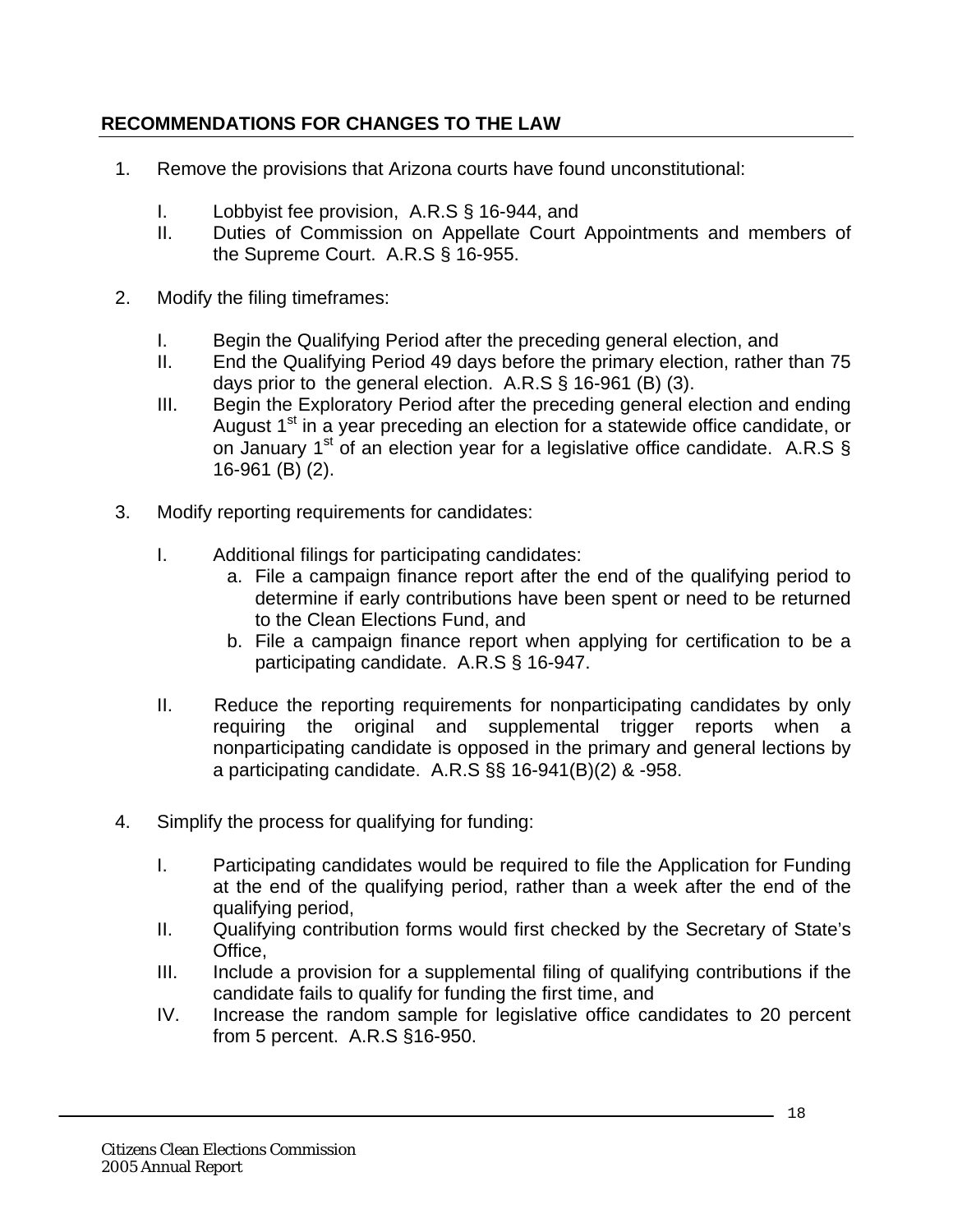# <span id="page-17-0"></span>**RECOMMENDATIONS FOR CHANGES TO THE LAW**

- 1. Remove the provisions that Arizona courts have found unconstitutional:
	- I. Lobbyist fee provision, A.R.S § 16-944, and
	- II. Duties of Commission on Appellate Court Appointments and members of the Supreme Court. A.R.S § 16-955.
- 2. Modify the filing timeframes:
	- I. Begin the Qualifying Period after the preceding general election, and
	- II. End the Qualifying Period 49 days before the primary election, rather than 75 days prior to the general election. A.R.S § 16-961 (B) (3).
	- III. Begin the Exploratory Period after the preceding general election and ending August  $1<sup>st</sup>$  in a year preceding an election for a statewide office candidate, or on January  $1^{st}$  of an election year for a legislative office candidate. A.R.S § 16-961 (B) (2).
- 3. Modify reporting requirements for candidates:
	- I. Additional filings for participating candidates:
		- a. File a campaign finance report after the end of the qualifying period to determine if early contributions have been spent or need to be returned to the Clean Elections Fund, and
		- b. File a campaign finance report when applying for certification to be a participating candidate. A.R.S § 16-947.
	- II. Reduce the reporting requirements for nonparticipating candidates by only requiring the original and supplemental trigger reports when a nonparticipating candidate is opposed in the primary and general lections by a participating candidate. A.R.S §§ 16-941(B)(2) & -958.
- 4. Simplify the process for qualifying for funding:
	- I. Participating candidates would be required to file the Application for Funding at the end of the qualifying period, rather than a week after the end of the qualifying period,
	- II. Qualifying contribution forms would first checked by the Secretary of State's Office,
	- III. Include a provision for a supplemental filing of qualifying contributions if the candidate fails to qualify for funding the first time, and
	- IV. Increase the random sample for legislative office candidates to 20 percent from 5 percent. A.R.S §16-950.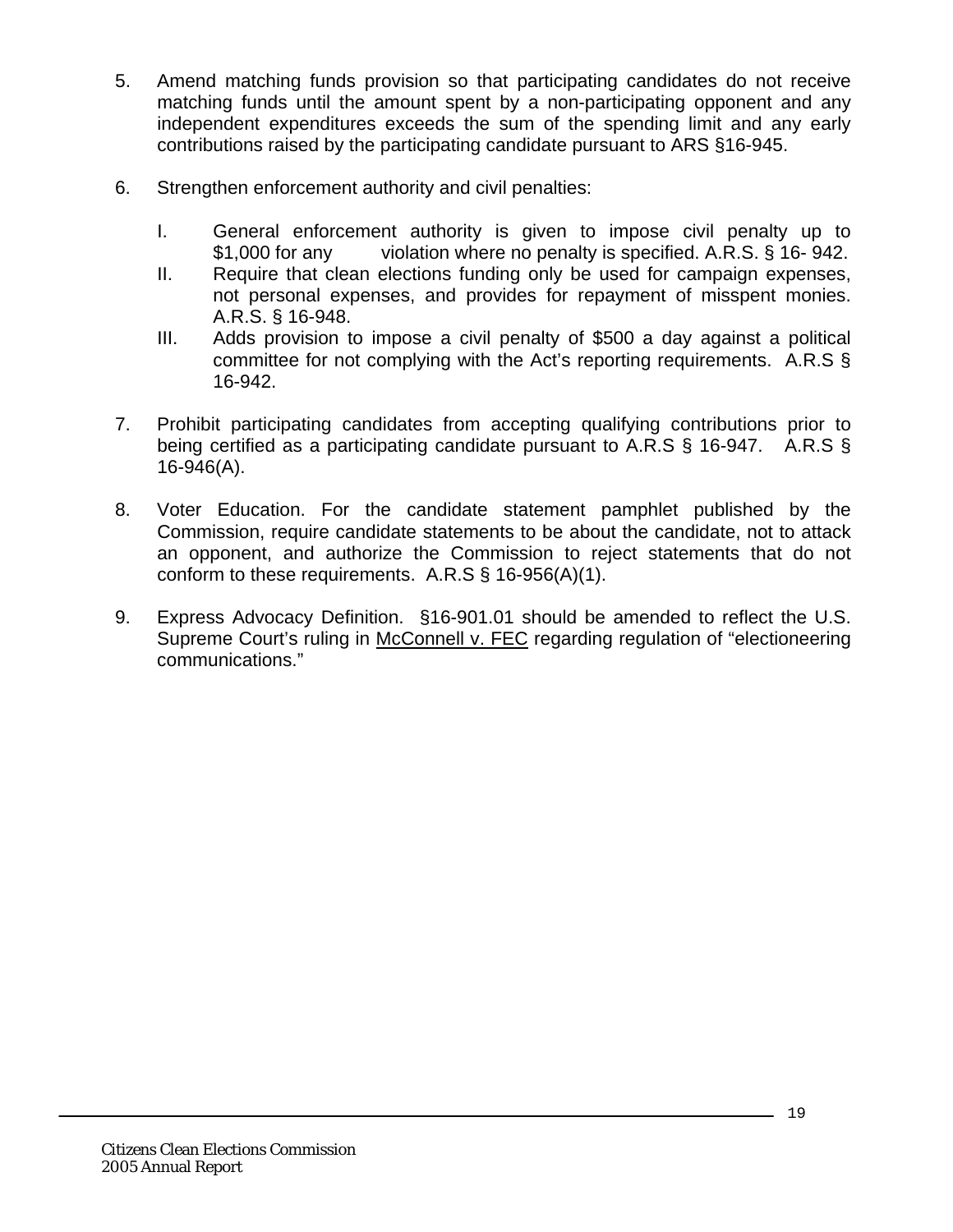- 5. Amend matching funds provision so that participating candidates do not receive matching funds until the amount spent by a non-participating opponent and any independent expenditures exceeds the sum of the spending limit and any early contributions raised by the participating candidate pursuant to ARS §16-945.
- 6. Strengthen enforcement authority and civil penalties:
	- I. General enforcement authority is given to impose civil penalty up to \$1,000 for any violation where no penalty is specified. A.R.S. § 16-942.
	- II. Require that clean elections funding only be used for campaign expenses, not personal expenses, and provides for repayment of misspent monies. A.R.S. § 16-948.
	- III. Adds provision to impose a civil penalty of \$500 a day against a political committee for not complying with the Act's reporting requirements. A.R.S § 16-942.
- 7. Prohibit participating candidates from accepting qualifying contributions prior to being certified as a participating candidate pursuant to A.R.S § 16-947. A.R.S § 16-946(A).
- 8. Voter Education. For the candidate statement pamphlet published by the Commission, require candidate statements to be about the candidate, not to attack an opponent, and authorize the Commission to reject statements that do not conform to these requirements.  $A.R.S \S 16-956(A)(1)$ .
- 9. Express Advocacy Definition. §16-901.01 should be amended to reflect the U.S. Supreme Court's ruling in McConnell v. FEC regarding regulation of "electioneering communications."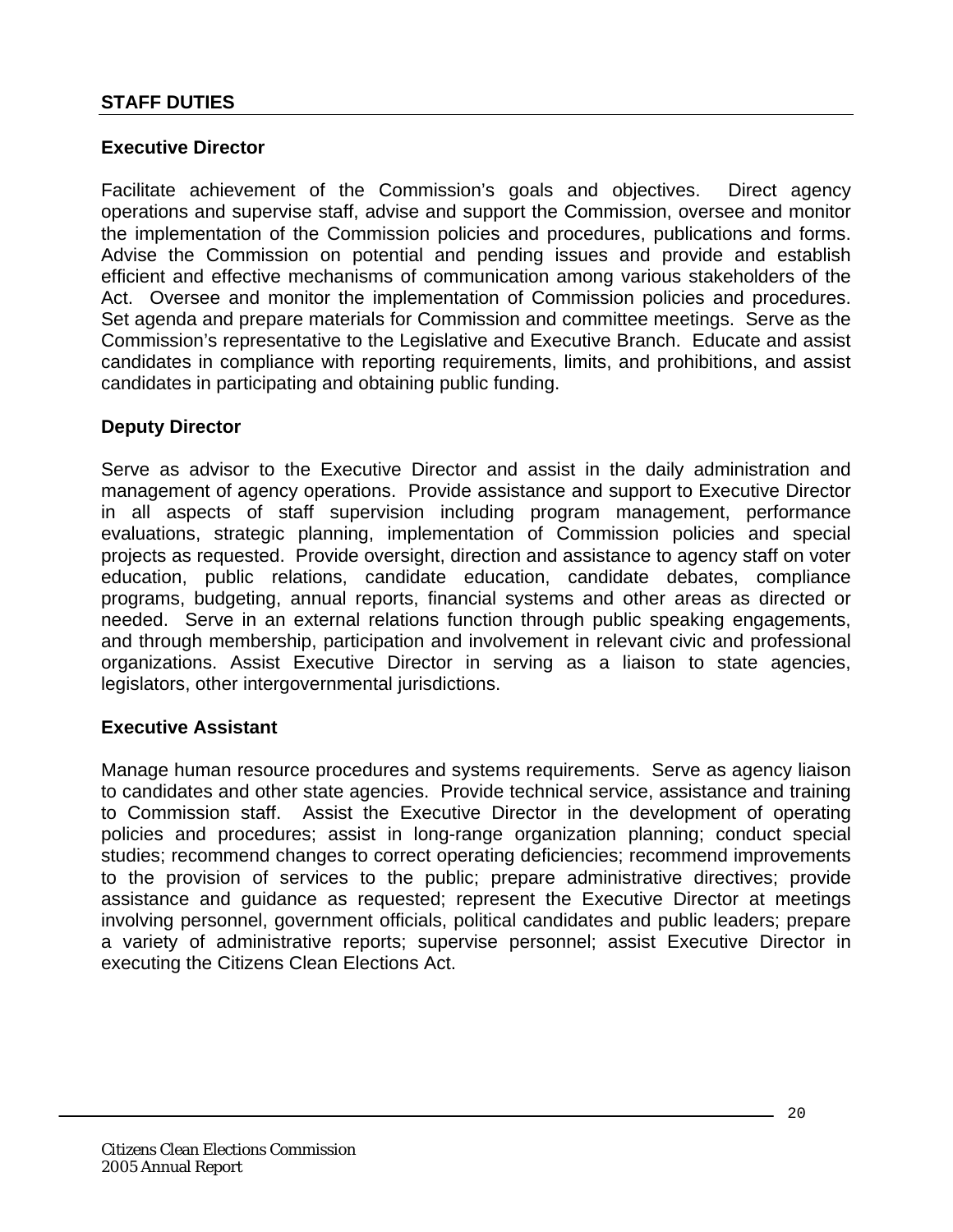## <span id="page-19-0"></span>**Executive Director**

Facilitate achievement of the Commission's goals and objectives. Direct agency operations and supervise staff, advise and support the Commission, oversee and monitor the implementation of the Commission policies and procedures, publications and forms. Advise the Commission on potential and pending issues and provide and establish efficient and effective mechanisms of communication among various stakeholders of the Act. Oversee and monitor the implementation of Commission policies and procedures. Set agenda and prepare materials for Commission and committee meetings. Serve as the Commission's representative to the Legislative and Executive Branch. Educate and assist candidates in compliance with reporting requirements, limits, and prohibitions, and assist candidates in participating and obtaining public funding.

#### **Deputy Director**

Serve as advisor to the Executive Director and assist in the daily administration and management of agency operations. Provide assistance and support to Executive Director in all aspects of staff supervision including program management, performance evaluations, strategic planning, implementation of Commission policies and special projects as requested. Provide oversight, direction and assistance to agency staff on voter education, public relations, candidate education, candidate debates, compliance programs, budgeting, annual reports, financial systems and other areas as directed or needed. Serve in an external relations function through public speaking engagements, and through membership, participation and involvement in relevant civic and professional organizations. Assist Executive Director in serving as a liaison to state agencies, legislators, other intergovernmental jurisdictions.

#### **Executive Assistant**

Manage human resource procedures and systems requirements. Serve as agency liaison to candidates and other state agencies. Provide technical service, assistance and training to Commission staff. Assist the Executive Director in the development of operating policies and procedures; assist in long-range organization planning; conduct special studies; recommend changes to correct operating deficiencies; recommend improvements to the provision of services to the public; prepare administrative directives; provide assistance and guidance as requested; represent the Executive Director at meetings involving personnel, government officials, political candidates and public leaders; prepare a variety of administrative reports; supervise personnel; assist Executive Director in executing the Citizens Clean Elections Act.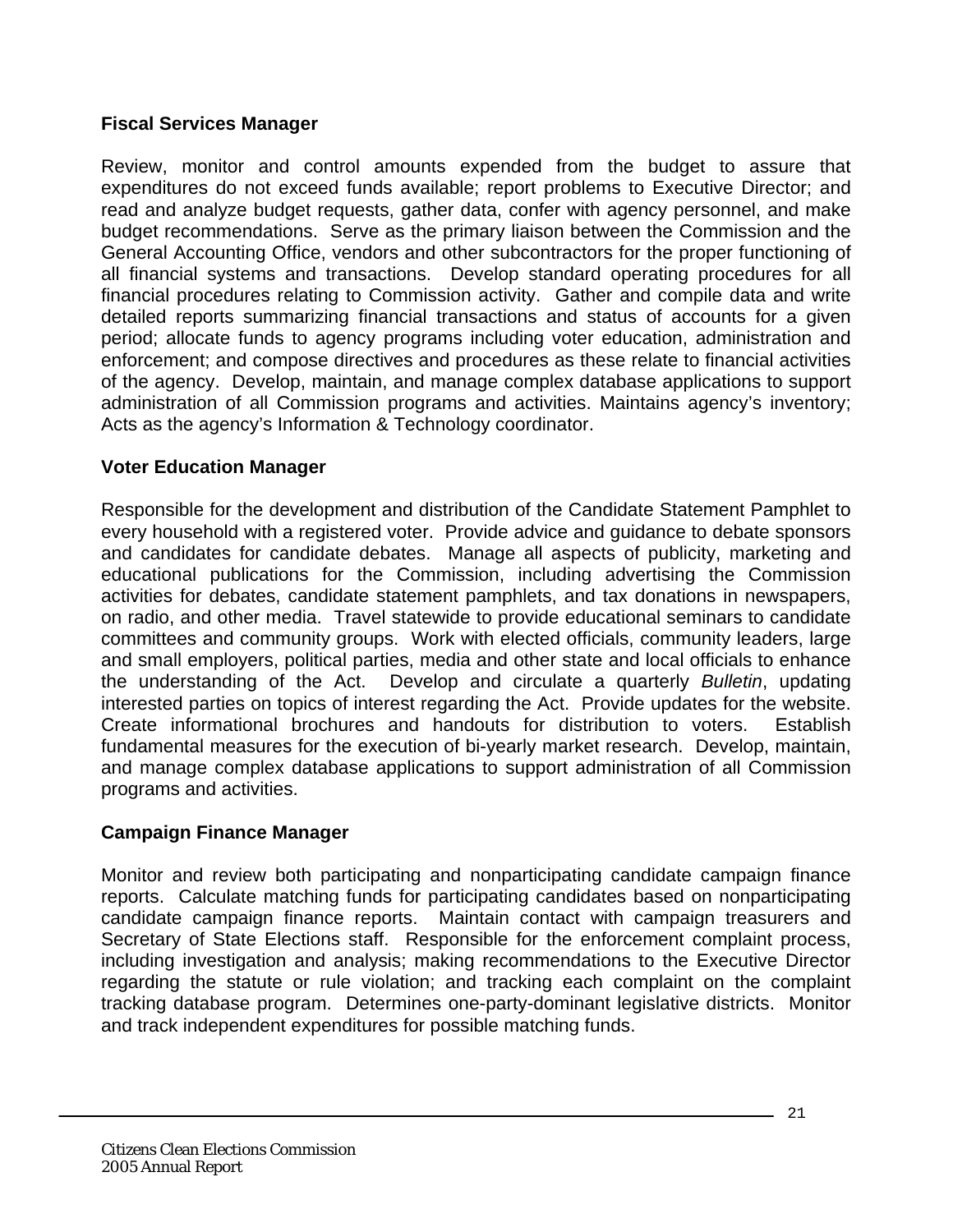## **Fiscal Services Manager**

Review, monitor and control amounts expended from the budget to assure that expenditures do not exceed funds available; report problems to Executive Director; and read and analyze budget requests, gather data, confer with agency personnel, and make budget recommendations. Serve as the primary liaison between the Commission and the General Accounting Office, vendors and other subcontractors for the proper functioning of all financial systems and transactions. Develop standard operating procedures for all financial procedures relating to Commission activity. Gather and compile data and write detailed reports summarizing financial transactions and status of accounts for a given period; allocate funds to agency programs including voter education, administration and enforcement; and compose directives and procedures as these relate to financial activities of the agency. Develop, maintain, and manage complex database applications to support administration of all Commission programs and activities. Maintains agency's inventory; Acts as the agency's Information & Technology coordinator.

## **Voter Education Manager**

Responsible for the development and distribution of the Candidate Statement Pamphlet to every household with a registered voter. Provide advice and guidance to debate sponsors and candidates for candidate debates. Manage all aspects of publicity, marketing and educational publications for the Commission, including advertising the Commission activities for debates, candidate statement pamphlets, and tax donations in newspapers, on radio, and other media. Travel statewide to provide educational seminars to candidate committees and community groups. Work with elected officials, community leaders, large and small employers, political parties, media and other state and local officials to enhance the understanding of the Act. Develop and circulate a quarterly *Bulletin*, updating interested parties on topics of interest regarding the Act. Provide updates for the website. Create informational brochures and handouts for distribution to voters. Establish fundamental measures for the execution of bi-yearly market research. Develop, maintain, and manage complex database applications to support administration of all Commission programs and activities.

# **Campaign Finance Manager**

Monitor and review both participating and nonparticipating candidate campaign finance reports. Calculate matching funds for participating candidates based on nonparticipating candidate campaign finance reports. Maintain contact with campaign treasurers and Secretary of State Elections staff. Responsible for the enforcement complaint process, including investigation and analysis; making recommendations to the Executive Director regarding the statute or rule violation; and tracking each complaint on the complaint tracking database program. Determines one-party-dominant legislative districts. Monitor and track independent expenditures for possible matching funds.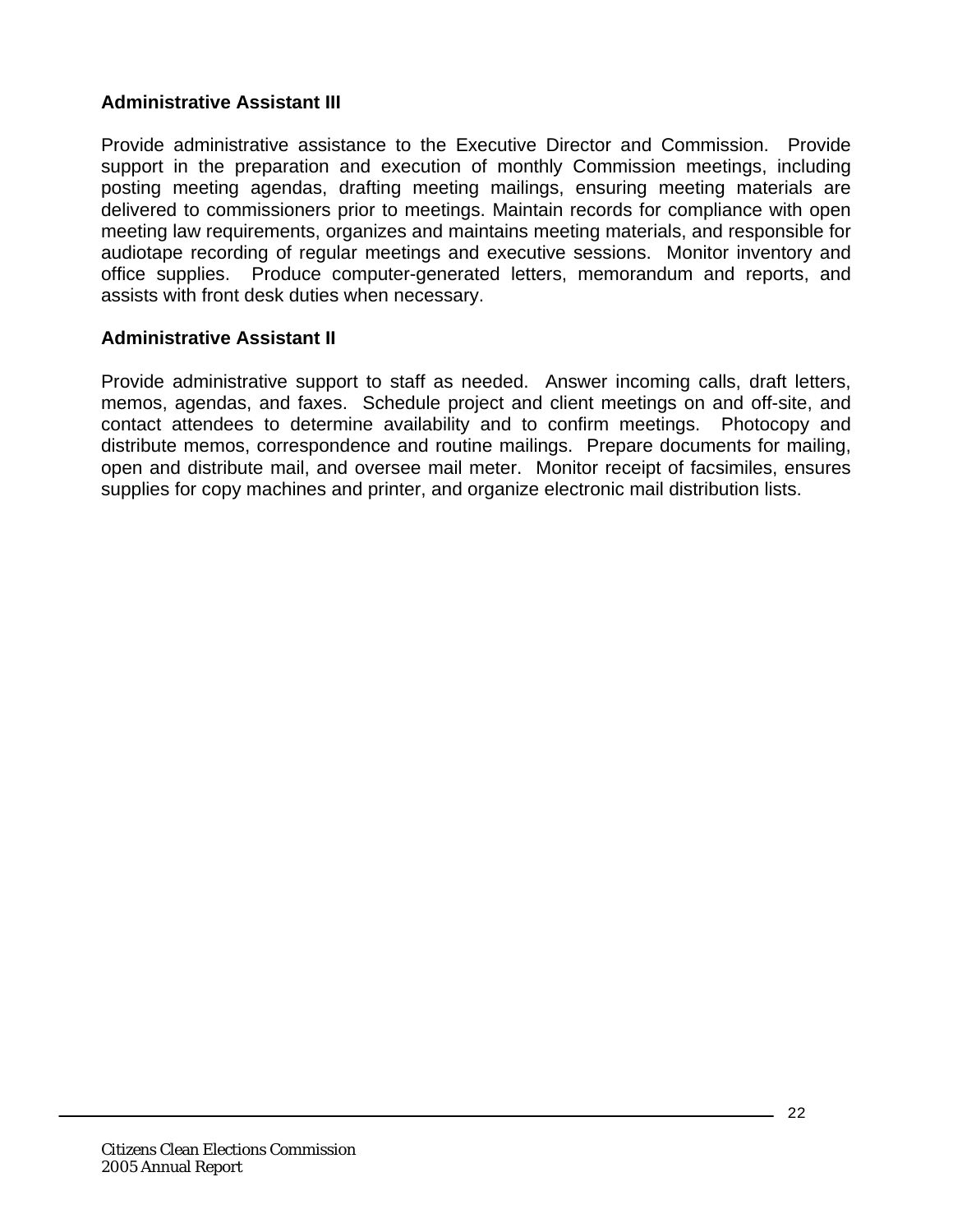### **Administrative Assistant III**

Provide administrative assistance to the Executive Director and Commission. Provide support in the preparation and execution of monthly Commission meetings, including posting meeting agendas, drafting meeting mailings, ensuring meeting materials are delivered to commissioners prior to meetings. Maintain records for compliance with open meeting law requirements, organizes and maintains meeting materials, and responsible for audiotape recording of regular meetings and executive sessions. Monitor inventory and office supplies. Produce computer-generated letters, memorandum and reports, and assists with front desk duties when necessary.

#### **Administrative Assistant II**

Provide administrative support to staff as needed. Answer incoming calls, draft letters, memos, agendas, and faxes. Schedule project and client meetings on and off-site, and contact attendees to determine availability and to confirm meetings. Photocopy and distribute memos, correspondence and routine mailings. Prepare documents for mailing, open and distribute mail, and oversee mail meter. Monitor receipt of facsimiles, ensures supplies for copy machines and printer, and organize electronic mail distribution lists.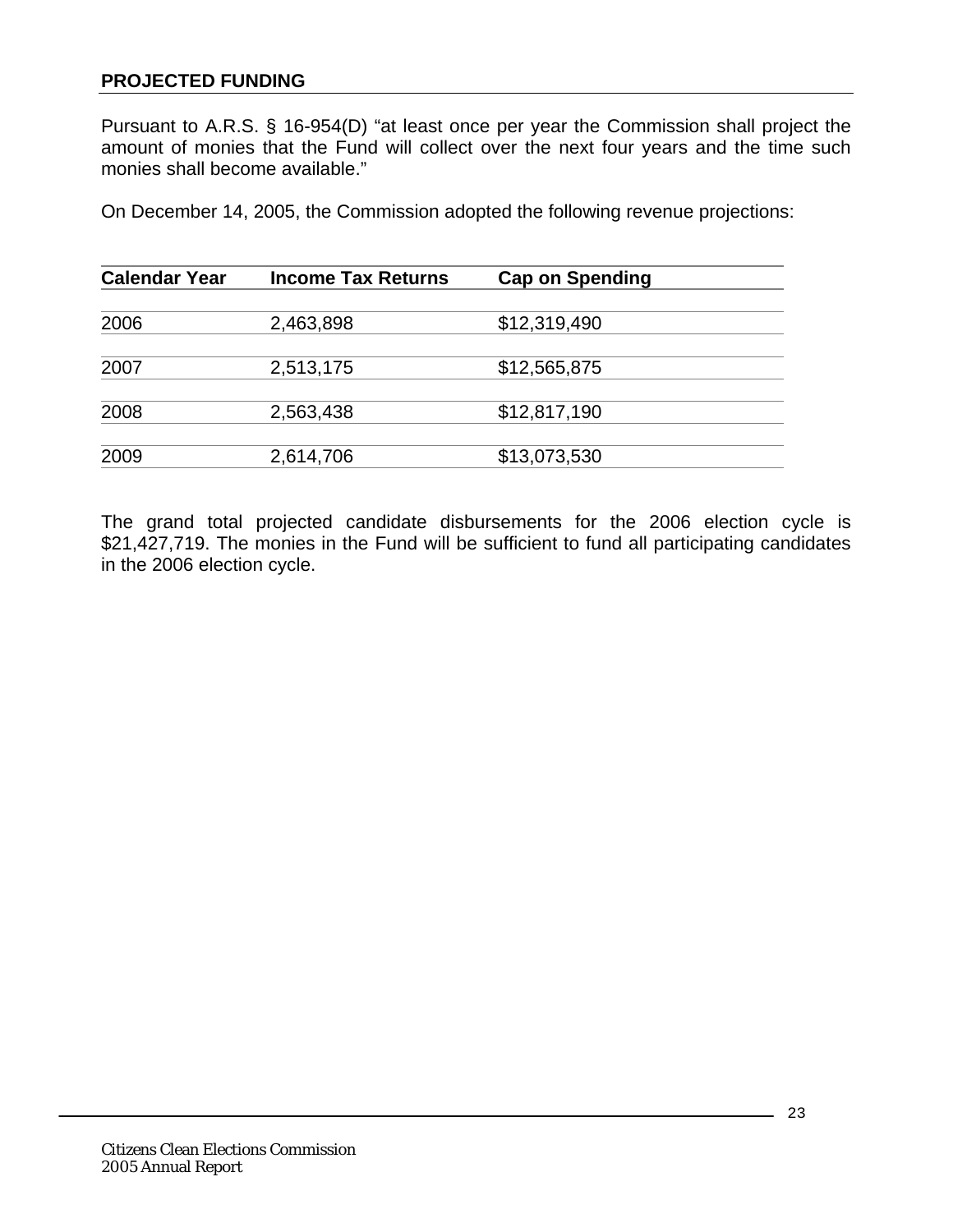### <span id="page-22-0"></span>**PROJECTED FUNDING**

Pursuant to A.R.S. § 16-954(D) "at least once per year the Commission shall project the amount of monies that the Fund will collect over the next four years and the time such monies shall become available."

On December 14, 2005, the Commission adopted the following revenue projections:

| <b>Calendar Year</b> | <b>Income Tax Returns</b> | <b>Cap on Spending</b> |  |
|----------------------|---------------------------|------------------------|--|
|                      |                           |                        |  |
| 2006                 | 2,463,898                 | \$12,319,490           |  |
| 2007                 | 2,513,175                 | \$12,565,875           |  |
| 2008                 | 2,563,438                 | \$12,817,190           |  |
| 2009                 | 2,614,706                 | \$13,073,530           |  |

The grand total projected candidate disbursements for the 2006 election cycle is \$21,427,719. The monies in the Fund will be sufficient to fund all participating candidates in the 2006 election cycle.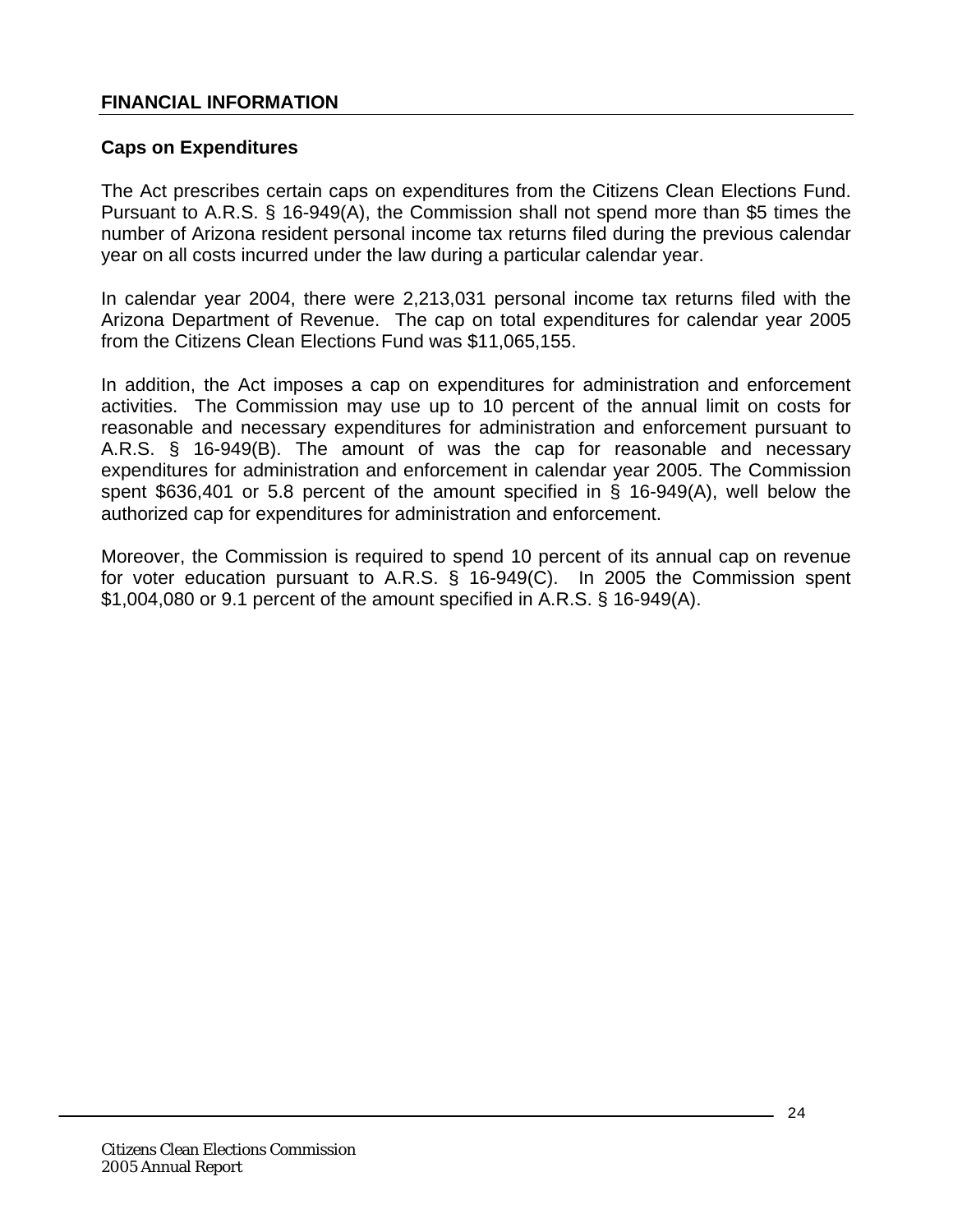#### <span id="page-23-0"></span>**FINANCIAL INFORMATION**

### **Caps on Expenditures**

The Act prescribes certain caps on expenditures from the Citizens Clean Elections Fund. Pursuant to A.R.S. § 16-949(A), the Commission shall not spend more than \$5 times the number of Arizona resident personal income tax returns filed during the previous calendar year on all costs incurred under the law during a particular calendar year.

In calendar year 2004, there were 2,213,031 personal income tax returns filed with the Arizona Department of Revenue. The cap on total expenditures for calendar year 2005 from the Citizens Clean Elections Fund was \$11,065,155.

In addition, the Act imposes a cap on expenditures for administration and enforcement activities. The Commission may use up to 10 percent of the annual limit on costs for reasonable and necessary expenditures for administration and enforcement pursuant to A.R.S. § 16-949(B). The amount of was the cap for reasonable and necessary expenditures for administration and enforcement in calendar year 2005. The Commission spent \$636,401 or 5.8 percent of the amount specified in § 16-949(A), well below the authorized cap for expenditures for administration and enforcement.

Moreover, the Commission is required to spend 10 percent of its annual cap on revenue for voter education pursuant to A.R.S. § 16-949(C). In 2005 the Commission spent \$1,004,080 or 9.1 percent of the amount specified in A.R.S. § 16-949(A).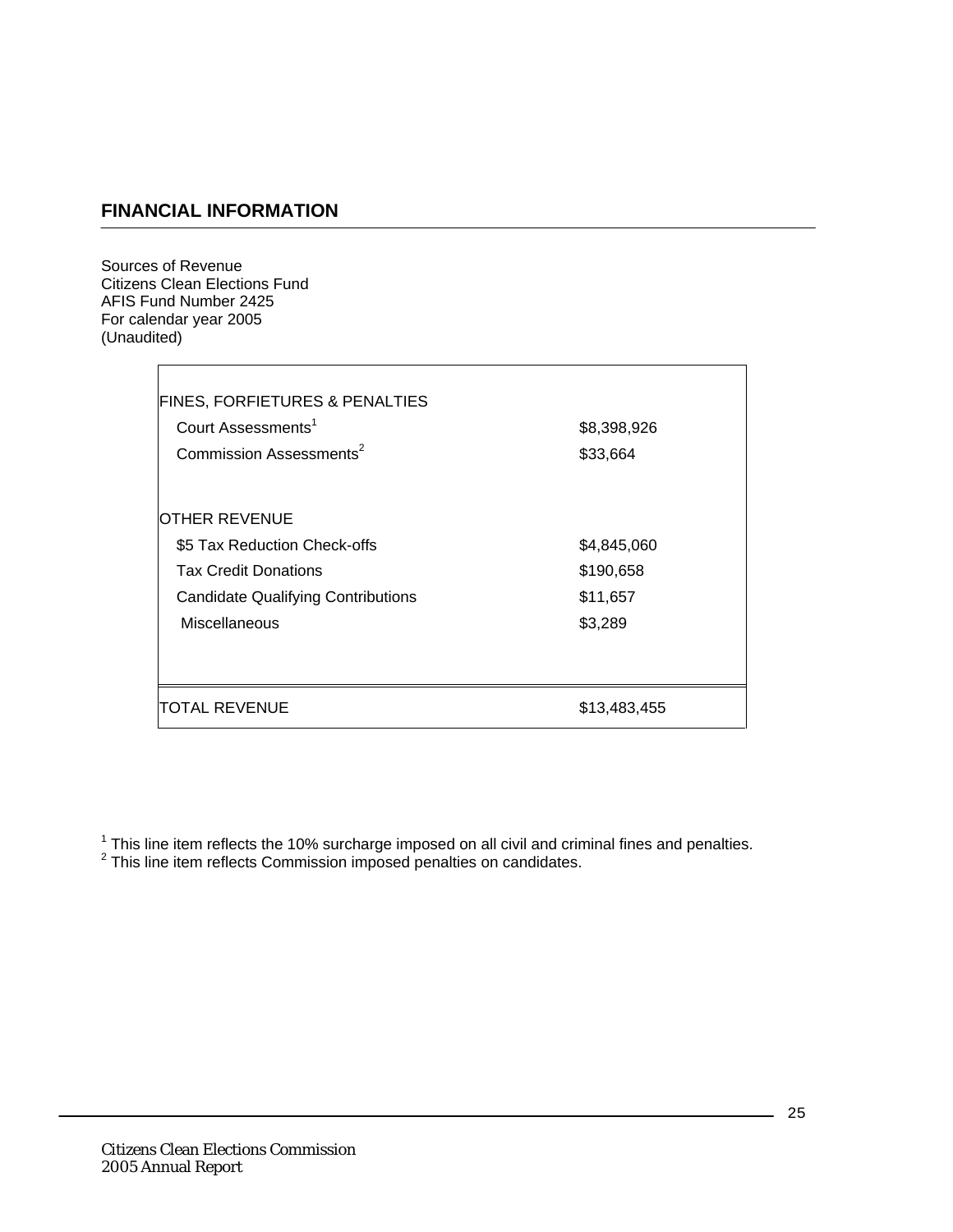# **FINANCIAL INFORMATION**

Sources of Revenue Citizens Clean Elections Fund AFIS Fund Number 2425 For calendar year 2005 (Unaudited)

 $\overline{\Gamma}$ 

| <b>FINES, FORFIETURES &amp; PENALTIES</b> |              |
|-------------------------------------------|--------------|
| Court Assessments <sup>1</sup>            | \$8,398,926  |
| Commission Assessments <sup>2</sup>       | \$33,664     |
|                                           |              |
| OTHER REVENUE                             |              |
| \$5 Tax Reduction Check-offs              | \$4,845,060  |
| <b>Tax Credit Donations</b>               | \$190,658    |
| <b>Candidate Qualifying Contributions</b> | \$11,657     |
| Miscellaneous                             | \$3,289      |
|                                           |              |
|                                           |              |
| TOTAL REVENUE                             | \$13,483,455 |

 $^1$  This line item reflects the 10% surcharge imposed on all civil and criminal fines and penalties.<br><sup>2</sup> This line item reflects Commission imposed penalties on candidates.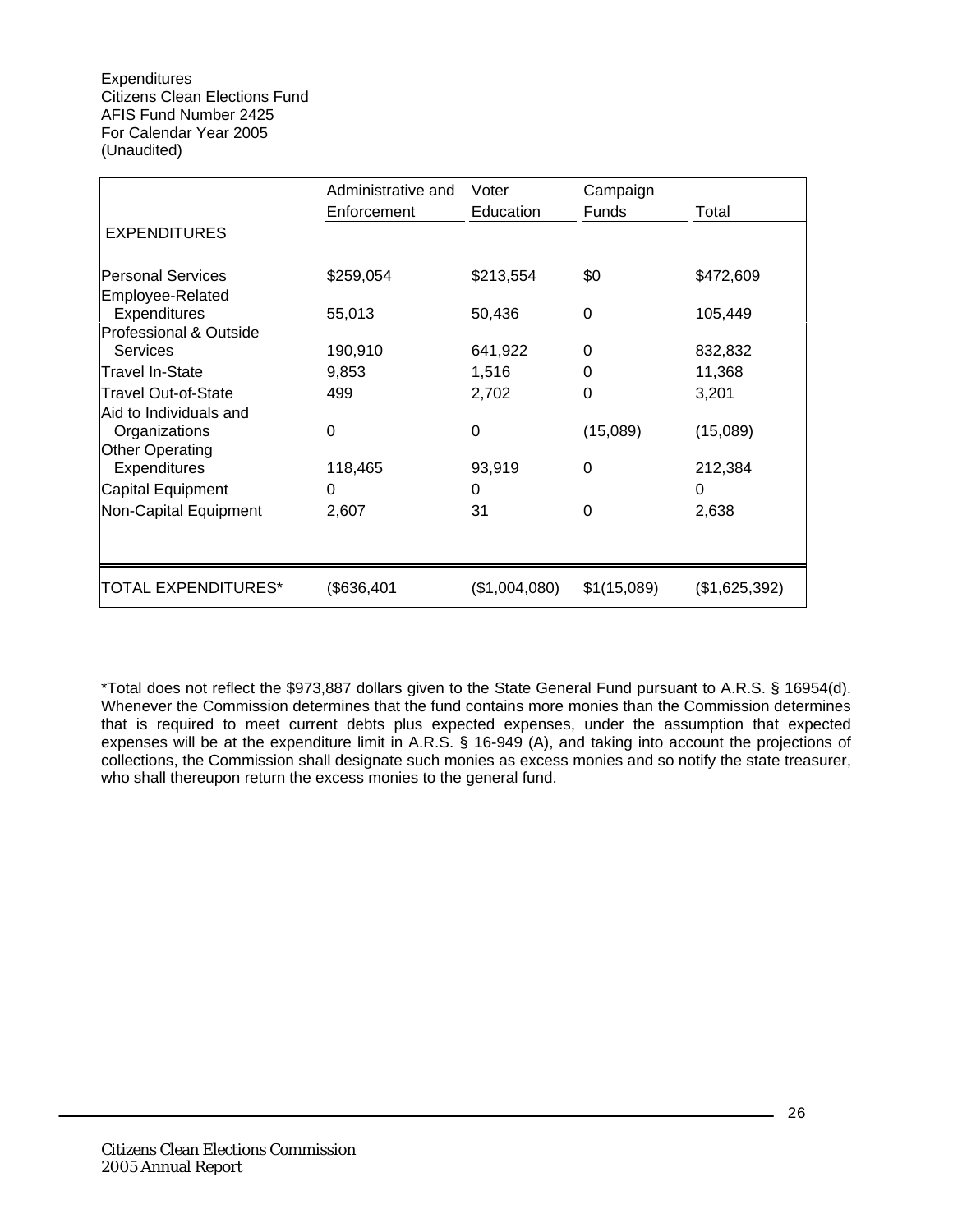|                                        | Administrative and | Voter         | Campaign     |               |  |
|----------------------------------------|--------------------|---------------|--------------|---------------|--|
|                                        | Enforcement        | Education     | <b>Funds</b> | Total         |  |
| <b>EXPENDITURES</b>                    |                    |               |              |               |  |
| lPersonal Services<br>Employee-Related | \$259,054          | \$213,554     | \$0          | \$472,609     |  |
| Expenditures                           | 55,013             | 50,436        | 0            | 105,449       |  |
| Professional & Outside                 |                    |               |              |               |  |
| Services                               | 190,910            | 641,922       | 0            | 832,832       |  |
| <b>Travel In-State</b>                 | 9,853              | 1,516         | 0            | 11,368        |  |
| <b>Travel Out-of-State</b>             | 499                | 2,702         | 0            | 3,201         |  |
| Aid to Individuals and                 |                    |               |              |               |  |
| Organizations                          | 0                  | $\Omega$      | (15,089)     | (15,089)      |  |
| Other Operating                        |                    |               |              |               |  |
| <b>Expenditures</b>                    | 118,465            | 93,919        | $\Omega$     | 212,384       |  |
| Capital Equipment                      | 0                  | 0             |              | 0             |  |
| Non-Capital Equipment                  | 2,607              | 31            | 0            | 2,638         |  |
|                                        |                    |               |              |               |  |
| TOTAL EXPENDITURES*                    | (\$636,401         | (\$1,004,080) | \$1(15,089)  | (\$1,625,392) |  |

\*Total does not reflect the \$973,887 dollars given to the State General Fund pursuant to A.R.S. § 16954(d). Whenever the Commission determines that the fund contains more monies than the Commission determines that is required to meet current debts plus expected expenses, under the assumption that expected expenses will be at the expenditure limit in A.R.S. § 16-949 (A), and taking into account the projections of collections, the Commission shall designate such monies as excess monies and so notify the state treasurer, who shall thereupon return the excess monies to the general fund.